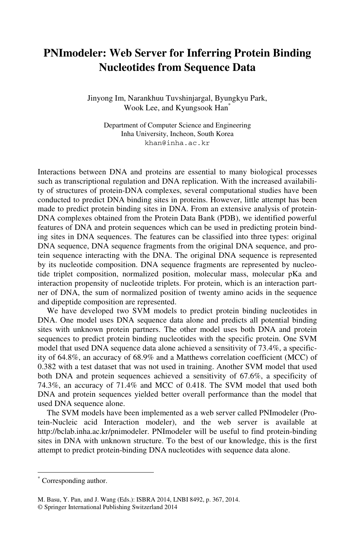## **PNImodeler: Web Server for Inferring Protein Binding Nucleotides from Sequence Data**

Jinyong Im, Narankhuu Tuvshinjargal, Byungkyu Park, Wook Lee, and Kyungsook Han<sup>\*</sup>

Department of Computer Science and Engineering Inha University, Incheon, South Korea khan@inha.ac.kr

Interactions between DNA and proteins are essential to many biological processes such as transcriptional regulation and DNA replication. With the increased availability of structures of protein-DNA complexes, several computational studies have been conducted to predict DNA binding sites in proteins. However, little attempt has been made to predict protein binding sites in DNA. From an extensive analysis of protein-DNA complexes obtained from the Protein Data Bank (PDB), we identified powerful features of DNA and protein sequences which can be used in predicting protein binding sites in DNA sequences. The features can be classified into three types: original DNA sequence, DNA sequence fragments from the original DNA sequence, and protein sequence interacting with the DNA. The original DNA sequence is represented by its nucleotide composition. DNA sequence fragments are represented by nucleotide triplet composition, normalized position, molecular mass, molecular pKa and interaction propensity of nucleotide triplets. For protein, which is an interaction partner of DNA, the sum of normalized position of twenty amino acids in the sequence and dipeptide composition are represented.

We have developed two SVM models to predict protein binding nucleotides in DNA. One model uses DNA sequence data alone and predicts all potential binding sites with unknown protein partners. The other model uses both DNA and protein sequences to predict protein binding nucleotides with the specific protein. One SVM model that used DNA sequence data alone achieved a sensitivity of 73.4%, a specificity of 64.8%, an accuracy of 68.9% and a Matthews correlation coefficient (MCC) of 0.382 with a test dataset that was not used in training. Another SVM model that used both DNA and protein sequences achieved a sensitivity of 67.6%, a specificity of 74.3%, an accuracy of 71.4% and MCC of 0.418. The SVM model that used both DNA and protein sequences yielded better overall performance than the model that used DNA sequence alone.

The SVM models have been implemented as a web server called PNImodeler (Protein-Nucleic acid Interaction modeler), and the web server is available at http://bclab.inha.ac.kr/pnimodeler. PNImodeler will be useful to find protein-binding sites in DNA with unknown structure. To the best of our knowledge, this is the first attempt to predict protein-binding DNA nucleotides with sequence data alone.

-

<sup>\*</sup> Corresponding author.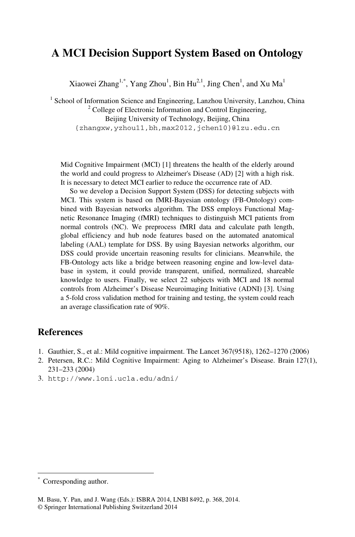## **A MCI Decision Support System Based on Ontology**

Xiaowei Zhang<sup>1,\*</sup>, Yang Zhou<sup>1</sup>, Bin Hu<sup>2,1</sup>, Jing Chen<sup>1</sup>, and Xu Ma<sup>1</sup>

<sup>1</sup> School of Information Science and Engineering, Lanzhou University, Lanzhou, China  $\frac{2}{3}$  College of Electronic Information and Control Engineering  $2^2$  College of Electronic Information and Control Engineering, Beijing University of Technology, Beijing, China {zhangxw,yzhou11,bh,max2012,jchen10}@lzu.edu.cn

Mid Cognitive Impairment (MCI) [1] threatens the health of the elderly around the world and could progress to Alzheimer's Disease (AD) [2] with a high risk. It is necessary to detect MCI earlier to reduce the occurrence rate of AD.

So we develop a Decision Support System (DSS) for detecting subjects with MCI. This system is based on fMRI-Bayesian ontology (FB-Ontology) combined with Bayesian networks algorithm. The DSS employs Functional Magnetic Resonance Imaging (fMRI) techniques to distinguish MCI patients from normal controls (NC). We preprocess fMRI data and calculate path length, global efficiency and hub node features based on the automated anatomical labeling (AAL) template for DSS. By using Bayesian networks algorithm, our DSS could provide uncertain reasoning results for clinicians. Meanwhile, the FB-Ontology acts like a bridge between reasoning engine and low-level database in system, it could provide transparent, unified, normalized, shareable knowledge to users. Finally, we select 22 subjects with MCI and 18 normal controls from Alzheimer's Disease Neuroimaging Initiative (ADNI) [3]. Using a 5-fold cross validation method for training and testing, the system could reach an average classification rate of 90%.

## **References**

- 1. Gauthier, S., et al.: Mild cognitive impairment. The Lancet 367(9518), 1262–1270 (2006)
- 2. Petersen, R.C.: Mild Cognitive Impairment: Aging to Alzheimer's Disease. Brain 127(1), 231–233 (2004)
- 3. http://www.loni.ucla.edu/adni/

<sup>\*</sup> Corresponding author.

M. Basu, Y. Pan, and J. Wang (Eds.): ISBRA 2014, LNBI 8492, p. 368, 2014. © Springer International Publishing Switzerland 2014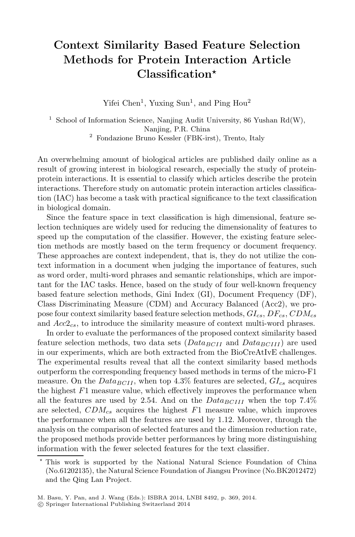# **Context Similarity Based Feature Selection Methods for Protein Interaction Article Classification***-*

Yifei Chen<sup>1</sup>, Yuxing Sun<sup>1</sup>, and Ping Hou<sup>2</sup>

<sup>1</sup> School of Information Science, Nanjing Audit University, 86 Yushan Rd(W), Nanjing, P.R. China <sup>2</sup> Fondazione Bruno Kessler (FBK-irst), Trento, Italy

An overwhelming amount of biological articles are published daily online as a result of growing interest in biological research, especially the study of proteinprotein interactions. It is essential to classify which articles describe the protein interactions. Therefore study on automatic protein interaction articles classification (IAC) has become a task with practical significance to the text classification in biological domain.

Since the feature space in text classification is high dimensional, feature selection techniques are widely used for reducing the dimensionality of features to speed up the computation of the classifier. However, the existing feature selection methods are mostly based on the term frequency or document frequency. These approaches are context independent, that is, they do not utilize the context information in a document when judging the importance of features, such as word order, multi-word phrases and semantic relationships, which are important for the IAC tasks. Hence, based on the study of four well-known frequency based feature selection methods, Gini Index (GI), Document Frequency (DF), Class Discriminating Measure (CDM) and Accuracy Balanced (Acc2), we propose four context similarity based feature selection methods, *GIcs*, *DFcs*, *CDMcs* and *Acc*2*cs*, to introduce the similarity measure of context multi-word phrases.

In order to evaluate the performances of the proposed context similarity based feature selection methods, two data sets  $(Data_{BCHI}$  and  $Data_{BCHI})$  are used in our experiments, which are both extracted from the BioCreAtIvE challenges. The experimental results reveal that all the context similarity based methods outperform the corresponding frequency based methods in terms of the micro-F1 measure. On the  $Data_{BCH}$ , when top 4.3% features are selected,  $GI_{cs}$  acquires the highest *F*1 measure value, which effectively improves the performance when all the features are used by 2.54. And on the  $Data_{BCIII}$  when the top 7.4% are selected, *CDMcs* acquires the highest *F*1 measure value, which improves the performance when all the features are used by 1.12. Moreover, through the analysis on the comparison of selected features and the dimension reduction rate, the proposed methods provide better performances by bring more distinguishing information with the fewer selected features for the text classifier.

<sup>\*</sup> This work is supported by the National Natural Science Foundation of China (No.61202135), the Natural Science Foundation of Jiangsu Province (No.BK2012472) and the Qing Lan Project.

<sup>-</sup>c Springer International Publishing Switzerland 2014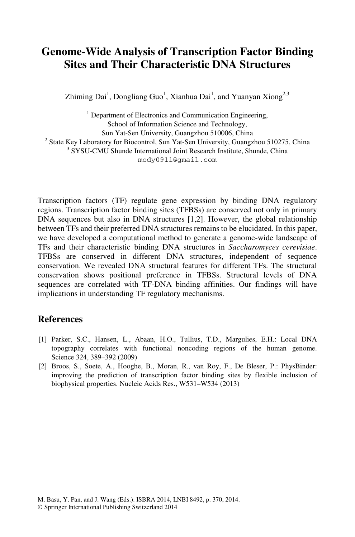## **Genome-Wide Analysis of Transcription Factor Binding Sites and Their Characteristic DNA Structures**

Zhiming Dai<sup>1</sup>, Dongliang Guo<sup>1</sup>, Xianhua Dai<sup>1</sup>, and Yuanyan Xiong<sup>2,3</sup>

<sup>1</sup> Department of Electronics and Communication Engineering, School of Information Science and Technology,<br>Sun Yat-Sen University, Guangzhou 510006, China  $2$  State Key Laboratory for Biocontrol, Sun Yat-Sen University, Guangzhou 510275, China State Key Laboratory for Biocontrol, Sun Yat-Sen University, Guangzhou 510275, China 3 SYSU-CMU Shunde International Joint Research Institute, Shunde, China mody0911@gmail.com

Transcription factors (TF) regulate gene expression by binding DNA regulatory regions. Transcription factor binding sites (TFBSs) are conserved not only in primary DNA sequences but also in DNA structures [1,2]. However, the global relationship between TFs and their preferred DNA structures remains to be elucidated. In this paper, we have developed a computational method to generate a genome-wide landscape of TFs and their characteristic binding DNA structures in *Saccharomyces cerevisiae*. TFBSs are conserved in different DNA structures, independent of sequence conservation. We revealed DNA structural features for different TFs. The structural conservation shows positional preference in TFBSs. Structural levels of DNA sequences are correlated with TF-DNA binding affinities. Our findings will have implications in understanding TF regulatory mechanisms.

- [1] Parker, S.C., Hansen, L., Abaan, H.O., Tullius, T.D., Margulies, E.H.: Local DNA topography correlates with functional noncoding regions of the human genome. Science 324, 389–392 (2009)
- [2] Broos, S., Soete, A., Hooghe, B., Moran, R., van Roy, F., De Bleser, P.: PhysBinder: improving the prediction of transcription factor binding sites by flexible inclusion of biophysical properties. Nucleic Acids Res., W531–W534 (2013)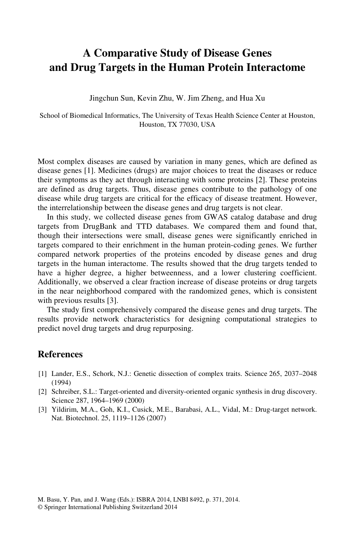# **A Comparative Study of Disease Genes and Drug Targets in the Human Protein Interactome**

Jingchun Sun, Kevin Zhu, W. Jim Zheng, and Hua Xu

School of Biomedical Informatics, The University of Texas Health Science Center at Houston, Houston, TX 77030, USA

Most complex diseases are caused by variation in many genes, which are defined as disease genes [1]. Medicines (drugs) are major choices to treat the diseases or reduce their symptoms as they act through interacting with some proteins [2]. These proteins are defined as drug targets. Thus, disease genes contribute to the pathology of one disease while drug targets are critical for the efficacy of disease treatment. However, the interrelationship between the disease genes and drug targets is not clear.

In this study, we collected disease genes from GWAS catalog database and drug targets from DrugBank and TTD databases. We compared them and found that, though their intersections were small, disease genes were significantly enriched in targets compared to their enrichment in the human protein-coding genes. We further compared network properties of the proteins encoded by disease genes and drug targets in the human interactome. The results showed that the drug targets tended to have a higher degree, a higher betweenness, and a lower clustering coefficient. Additionally, we observed a clear fraction increase of disease proteins or drug targets in the near neighborhood compared with the randomized genes, which is consistent with previous results [3].

The study first comprehensively compared the disease genes and drug targets. The results provide network characteristics for designing computational strategies to predict novel drug targets and drug repurposing.

- [1] Lander, E.S., Schork, N.J.: Genetic dissection of complex traits. Science 265, 2037–2048 (1994)
- [2] Schreiber, S.L.: Target-oriented and diversity-oriented organic synthesis in drug discovery. Science 287, 1964–1969 (2000)
- [3] Yildirim, M.A., Goh, K.I., Cusick, M.E., Barabasi, A.L., Vidal, M.: Drug-target network. Nat. Biotechnol. 25, 1119–1126 (2007)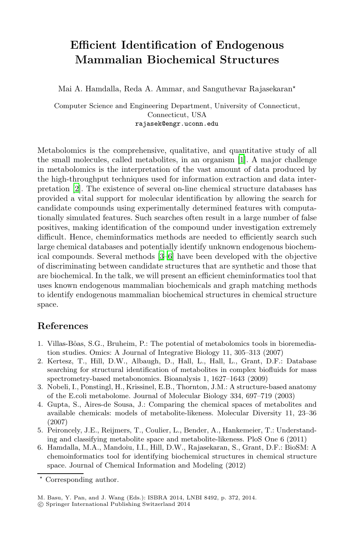# **Efficient Identification of Endogenous Mammalian Biochemical Structures**

Mai A. Hamdalla, Reda A. Ammar, and Sanguthevar Rajasekaran<sup>\*</sup>

Computer Science and Engineering Department, University of Connecticut, Connecticut, USA rajasek@engr.uconn.edu

Metabolomics is the comprehensive, qualitative, and quantitative study of all the small molecules, called metabolites, in an organism [1]. A major challenge in metabolomics is the interpretation of the vast amount of data produced by the high-throughput techniques used for information extraction and data interpretation [2]. The existence of several on-line chemical structure databases has provided a vital support for molecular identification by allowing the search for candidate compounds using experimentally determined features with computationally simulated features. Such searches often result in a large number of false positives, making identification of the compound under investigation extremely difficult. Hence, cheminformatics methods are needed to efficiently search such large chemical databases and potentially identify unknown endogenous biochemical compounds. Several methods [3–6] have been developed with the objective of discriminating between candidate structures that are synthetic and those that are biochemical. In the talk, we will present an efficient cheminformatics tool that uses known endogenous mammalian biochemicals and graph matching methods to identify endogenous mammalian biochemical structures in chemical structure space.

- 1. Villas-Bˆoas, S.G., Bruheim, P.: The potential of metabolomics tools in bioremediation studies. Omics: A Journal of Integrative Biology 11, 305–313 (2007)
- 2. Kertesz, T., Hill, D.W., Albaugh, D., Hall, L., Hall, L., Grant, D.F.: Database searching for structural identification of metabolites in complex biofluids for mass spectrometry-based metabonomics. Bioanalysis 1, 1627–1643 (2009)
- 3. Nobeli, I., Ponstingl, H., Krissinel, E.B., Thornton, J.M.: A structure-based anatomy of the E.coli metabolome. Journal of Molecular Biology 334, 697–719 (2003)
- 4. Gupta, S., Aires-de Sousa, J.: Comparing the chemical spaces of metabolites and available chemicals: models of metabolite-likeness. Molecular Diversity 11, 23–36 (2007)
- 5. Peironcely, J.E., Reijmers, T., Coulier, L., Bender, A., Hankemeier, T.: Understanding and classifying metabolite space and metabolite-likeness. PloS One 6 (2011)
- 6. Hamdalla, M.A., Mandoiu, I.I., Hill, D.W., Rajasekaran, S., Grant, D.F.: BioSM: A chemoinformatics tool for identifying biochemical structures in chemical structure space. Journal of Chemical Information and Modeling (2012)

 $\star$ Corresponding author.

M. Basu, Y. Pan, and J. Wang (Eds.): ISBRA 2014, LNBI 8492, p. 372, 2014.

<sup>-</sup>c Springer International Publishing Switzerland 2014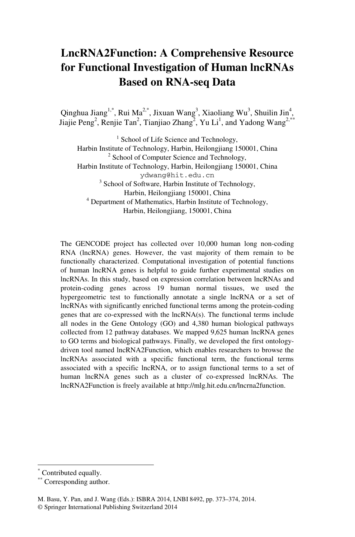# **LncRNA2Function: A Comprehensive Resource for Functional Investigation of Human lncRNAs Based on RNA-seq Data**

Qinghua Jiang<sup>1,\*</sup>, Rui Ma<sup>2,\*</sup>, Jixuan Wang<sup>3</sup>, Xiaoliang Wu<sup>3</sup>, Shuilin Jin<sup>4</sup>, Jiajie Peng<sup>2</sup>, Renjie Tan<sup>2</sup>, Tianjiao Zhang<sup>2</sup>, Yu Li<sup>1</sup>, and Yadong Wang<sup>2,\*\*</sup>

<sup>1</sup> School of Life Science and Technology, Harbin Institute of Technology, Harbin, Heilongjiang 150001, China 2  $2$  School of Computer Science and Technology, Harbin Institute of Technology, Harbin, Heilongjiang 150001, China ydwang@hit.edu.cn <sup>3</sup> School of Software, Harbin Institute of Technology, Harbin, Heilongjiang 150001, China 4 Department of Mathematics, Harbin Institute of Technology, Harbin, Heilongjiang, 150001, China

The GENCODE project has collected over 10,000 human long non-coding RNA (lncRNA) genes. However, the vast majority of them remain to be functionally characterized. Computational investigation of potential functions of human lncRNA genes is helpful to guide further experimental studies on lncRNAs. In this study, based on expression correlation between lncRNAs and protein-coding genes across 19 human normal tissues, we used the hypergeometric test to functionally annotate a single lncRNA or a set of lncRNAs with significantly enriched functional terms among the protein-coding genes that are co-expressed with the lncRNA(s). The functional terms include all nodes in the Gene Ontology (GO) and 4,380 human biological pathways collected from 12 pathway databases. We mapped 9,625 human lncRNA genes to GO terms and biological pathways. Finally, we developed the first ontologydriven tool named lncRNA2Function, which enables researchers to browse the lncRNAs associated with a specific functional term, the functional terms associated with a specific lncRNA, or to assign functional terms to a set of human lncRNA genes such as a cluster of co-expressed lncRNAs. The lncRNA2Function is freely available at http://mlg.hit.edu.cn/lncrna2function.

<sup>\*</sup> Contributed equally.

<sup>\*\*</sup> Corresponding author.

M. Basu, Y. Pan, and J. Wang (Eds.): ISBRA 2014, LNBI 8492, pp. 373–374, 2014. © Springer International Publishing Switzerland 2014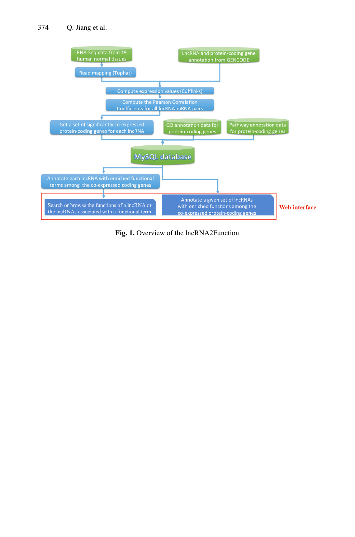

**Fig. 1.** Overview of the lncRNA2Function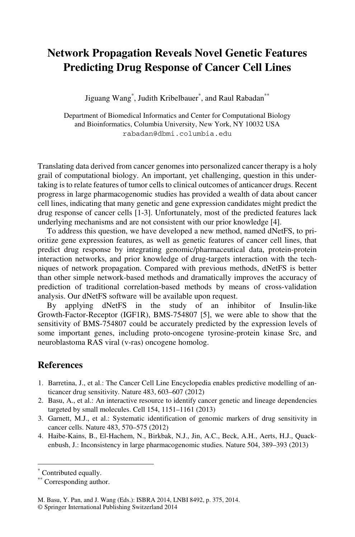# **Network Propagation Reveals Novel Genetic Features Predicting Drug Response of Cancer Cell Lines**

Jiguang Wang<sup>\*</sup>, Judith Kribelbauer<sup>\*</sup>, and Raul Rabadan<sup>\*\*</sup>

Department of Biomedical Informatics and Center for Computational Biology and Bioinformatics, Columbia University, New York, NY 10032 USA rabadan@dbmi.columbia.edu

Translating data derived from cancer genomes into personalized cancer therapy is a holy grail of computational biology. An important, yet challenging, question in this undertaking is to relate features of tumor cells to clinical outcomes of anticancer drugs. Recent progress in large pharmacogenomic studies has provided a wealth of data about cancer cell lines, indicating that many genetic and gene expression candidates might predict the drug response of cancer cells [1-3]. Unfortunately, most of the predicted features lack underlying mechanisms and are not consistent with our prior knowledge [4].

To address this question, we have developed a new method, named dNetFS, to prioritize gene expression features, as well as genetic features of cancer cell lines, that predict drug response by integrating genomic/pharmaceutical data, protein-protein interaction networks, and prior knowledge of drug-targets interaction with the techniques of network propagation. Compared with previous methods, dNetFS is better than other simple network-based methods and dramatically improves the accuracy of prediction of traditional correlation-based methods by means of cross-validation analysis. Our dNetFS software will be available upon request.

By applying dNetFS in the study of an inhibitor of Insulin-like Growth-Factor-Receptor (IGF1R), BMS-754807 [5], we were able to show that the sensitivity of BMS-754807 could be accurately predicted by the expression levels of some important genes, including proto-oncogene tyrosine-protein kinase Src, and neuroblastoma RAS viral (v-ras) oncogene homolog.

### **References**

- 1. Barretina, J., et al.: The Cancer Cell Line Encyclopedia enables predictive modelling of anticancer drug sensitivity. Nature 483, 603–607 (2012)
- 2. Basu, A., et al.: An interactive resource to identify cancer genetic and lineage dependencies targeted by small molecules. Cell 154, 1151–1161 (2013)
- 3. Garnett, M.J., et al.: Systematic identification of genomic markers of drug sensitivity in cancer cells. Nature 483, 570–575 (2012)
- 4. Haibe-Kains, B., El-Hachem, N., Birkbak, N.J., Jin, A.C., Beck, A.H., Aerts, H.J., Quackenbush, J.: Inconsistency in large pharmacogenomic studies. Nature 504, 389–393 (2013)

<sup>\*</sup> Contributed equally.

<sup>\*\*\*</sup> Corresponding author.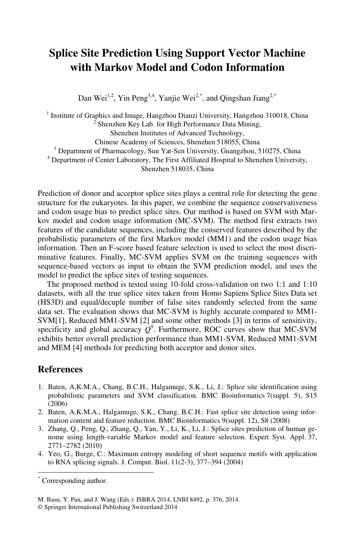## **Splice Site Prediction Using Support Vector Machine with Markov Model and Codon Information**

Dan Wei<sup>1,2</sup>, Yin Peng<sup>3,4</sup>, Yanjie Wei<sup>2,\*</sup>, and Oingshan Jiang<sup>2,\*</sup>

<sup>1</sup> Institute of Graphics and Image, Hangzhou Dianzi University, Hangzhou 310018, China <sup>2</sup> Shenzhen Key Lab for High Performance Data Mining  $2$  Shenzhen Key Lab. for High Performance Data Mining, Shenzhen Institutes of Advanced Technology,<br>Chinese Academy of Sciences, Shenzhen 518055, China <sup>3</sup> Department of Pharmacology, Sun Yat-Sen University, Guangzhou, 510275, China <sup>3</sup> Department of Pharmacology, Sun Yat-Sen University, Guangzhou, 510275, China  $4$  Department of Center Laboratory, The First Affiliated Hospital to Shenzhen University, Shenzhen 518035, China

Prediction of donor and acceptor splice sites plays a central role for detecting the gene structure for the eukaryotes. In this paper, we combine the sequence conservativeness and codon usage bias to predict splice sites. Our method is based on SVM with Markov model and codon usage information (MC-SVM). The method first extracts two features of the candidate sequences, including the conserved features described by the probabilistic parameters of the first Markov model (MM1) and the codon usage bias information. Then an F-score based feature selection is used to select the most discriminative features. Finally, MC-SVM applies SVM on the training sequences with sequence-based vectors as input to obtain the SVM prediction model, and uses the model to predict the splice sites of testing sequences.

The proposed method is tested using 10-fold cross-validation on two 1:1 and 1:10 datasets, with all the true splice sites taken from Homo Sapiens Splice Sites Data set (HS3D) and equal/decuple number of false sites randomly selected from the same data set. The evaluation shows that MC-SVM is highly accurate compared to MM1- SVM[1], Reduced MM1-SVM [2] and some other methods [3] in terms of sensitivity, specificity and global accuracy  $Q^9$ . Furthermore, ROC curves show that MC-SVM exhibits better overall prediction performance than MM1-SVM, Reduced MM1-SVM and MEM [4] methods for predicting both acceptor and donor sites.

### **References**

- 1. Baten, A.K.M.A., Chang, B.C.H., Halgamuge, S.K., Li, J.: Splice site identification using probabilistic parameters and SVM classification. BMC Bioinformatics 7(suppl. 5), S15 (2006)
- 2. Baten, A.K.M.A., Halgamuge, S.K., Chang, B.C.H.: Fast splice site detection using information content and feature reduction. BMC Bioinformatics 9(suppl. 12), S8 (2008)
- 3. Zhang, Q., Peng, Q., Zhang, Q., Yan, Y., Li, K., Li, J.: Splice sites prediction of human genome using length-variable Markov model and feature selection. Expert Syst. Appl. 37, 2771–2782 (2010)
- 4. Yeo, G., Burge, C.: Maximum entropy modeling of short sequence motifs with application to RNA splicing signals. J. Comput. Biol. 11(2-3), 377–394 (2004)

-

<sup>\*</sup> Corresponding author.

<sup>©</sup> Springer International Publishing Switzerland 2014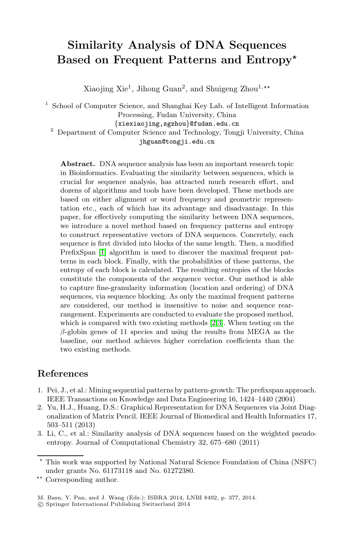# **Similarity Analysis of DNA Sequences Based on Frequent Patterns and Entropy***-*

Xiaojing Xie<sup>1</sup>, Jihong Guan<sup>2</sup>, and Shuigeng Zhou<sup>1,\*\*</sup>

<sup>1</sup> School of Computer Science, and Shanghai Key Lab. of Intelligent Information Processing, Fudan University, China *{*xiexiaojing,sgzhou*}*@fudan.edu.cn <sup>2</sup> Department of Computer Science and Technology, Tongji University, China jhguan@tongji.edu.cn

**Abstract.** DNA sequence analysis has been an important research topic in Bioinformatics. Evaluating the similarity between sequences, which is crucial for sequence analysis, has attracted much research effort, and dozens of algorithms and tools have been developed. These methods are based on either alignment or word frequency and geometric representation etc., each of which has its advantage and disadvantage. In this paper, for effectively computing the similarity between DNA sequences, we introduce a novel method based on frequency patterns and entropy to construct representative vectors of DNA sequences. Concretely, each sequence is first divided into blocks of the same length. Then, a modified PrefixSpan [1] algorithm is used to discover the maximal frequent patterns in each block. Finally, with the probabilities of these patterns, the entropy of each block is calculated. The resulting entropies of the blocks constitute the components of the sequence vector. Our method is able to capture fine-granularity information (location and ordering) of DNA sequences, via sequence blocking. As only the maximal frequent patterns are considered, our method is insensitive to noise and sequence rearrangement. Experiments are conducted to evaluate the proposed method, which is compared with two existing methods [2,3]. When testing on the  $\beta$ -globin genes of 11 species and using the results from MEGA as the baseline, our method achieves higher correlation coefficients than the two existing methods.

- 1. Pei, J., et al.: Mining sequential patterns by pattern-growth: The prefixspan approach. IEEE Transactions on Knowledge and Data Engineering 16, 1424–1440 (2004)
- 2. Yu, H.J., Huang, D.S.: Graphical Representation for DNA Sequences via Joint Diagonalization of Matrix Pencil. IEEE Journal of Biomedical and Health Informatics 17, 503–511 (2013)
- 3. Li, C., et al.: Similarity analysis of DNA sequences based on the weighted pseudoentropy. Journal of Computational Chemistry 32, 675–680 (2011)

 $\star$  This work was supported by National Natural Science Foundation of China (NSFC) under grants No. 61173118 and No. 61272380.

<sup>\*\*</sup> Corresponding author.

M. Basu, Y. Pan, and J. Wang (Eds.): ISBRA 2014, LNBI 8492, p. 377, 2014.

<sup>-</sup>c Springer International Publishing Switzerland 2014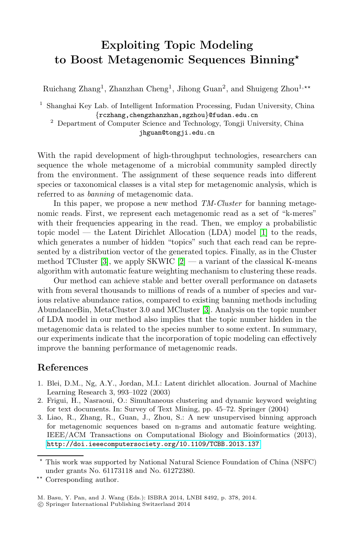# **Exploiting Topic Modeling to Boost Metagenomic Sequences Binning***-*

Ruichang Zhang<sup>1</sup>, Zhanzhan Cheng<sup>1</sup>, Jihong Guan<sup>2</sup>, and Shuigeng Zhou<sup>1,\*\*</sup>

<sup>1</sup> Shanghai Key Lab. of Intelligent Information Processing, Fudan University, China *{*rczhang,chengzhanzhan,sgzhou*}*@fudan.edu.cn <sup>2</sup> Department of Computer Science and Technology, Tongji University, China

jhguan@tongji.edu.cn

With the rapid development of high-throughput technologies, researchers can sequence the whole metagenome of a microbial community sampled directly from the environment. The assignment of these sequence reads into different species or taxonomical classes is a vital step for metagenomic analysis, which is referred to as *banning* of metagenomic data.

In this paper, we propose a new method *TM-Cluster* for banning metagenomic reads. First, we represent each metagenomic read as a set of "k-meres" with their frequencies appearing in the read. Then, we employ a probabilistic topic model — the Latent Dirichlet Allocation (LDA) model [1] to the reads, which generates a number of hidden "topics" such that each read can be represented by a distribution vector of the generated topics. Finally, as in the Cluster method TCluster [3], we apply SKWIC  $[2]$  — a variant of the classical K-means algorithm with automatic feature weighting mechanism to clustering these reads.

Our method can achieve stable and better overall performance on datasets with from several thousands to millions of reads of a number of species and various relative abundance ratios, compared to existing banning methods including AbundanceBin, MetaCluster 3.0 and MCluster [3]. Analysis on the topic number of LDA model in our method also implies that the topic number hidden in the metagenomic data is related to the species number to some extent. In summary, our experiments indicate that the incorporation of topic modeling can effectively improve the banning performance of metagenomic reads.

- 1. Blei, D.M., Ng, A.Y., Jordan, M.I.: Latent dirichlet allocation. Journal of Machine Learning Research 3, 993–1022 (2003)
- 2. Frigui, H., Nasraoui, O.: Simultaneous clustering and dynamic keyword weighting for text documents. In: Survey of Text Mining, pp. 45–72. Springer (2004)
- 3. Liao, R., Zhang, R., Guan, J., Zhou, S.: A new unsupervised binning approach for metagenomic sequences based on n-grams and automatic feature weighting. IEEE/ACM Transactions on Computational Biology and Bioinformatics (2013), http://doi.ieeecomputersociety.org/10.1109/TCBB.2013.137

 $\star$  This work was supported by National Natural Science Foundation of China (NSFC) under grants No. 61173118 and No. 61272380.

<sup>\*\*</sup> Corresponding author.

M. Basu, Y. Pan, and J. Wang (Eds.): ISBRA 2014, LNBI 8492, p. 378, 2014.

<sup>-</sup>c Springer International Publishing Switzerland 2014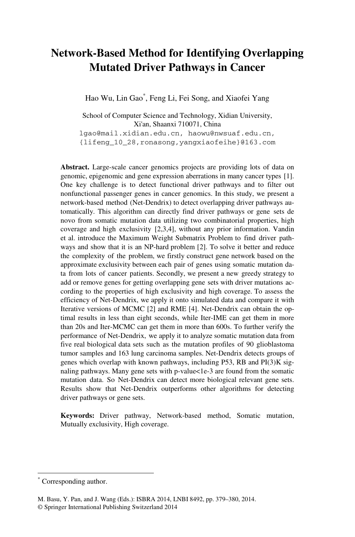## **Network-Based Method for Identifying Overlapping Mutated Driver Pathways in Cancer**

Hao Wu, Lin Gao\* , Feng Li, Fei Song, and Xiaofei Yang

School of Computer Science and Technology, Xidian University, Xi'an, Shaanxi 710071, China lgao@mail.xidian.edu.cn, haowu@nwsuaf.edu.cn, {lifeng\_10\_28,ronasong,yangxiaofeihe}@163.com

**Abstract.** Large-scale cancer genomics projects are providing lots of data on genomic, epigenomic and gene expression aberrations in many cancer types [1]. One key challenge is to detect functional driver pathways and to filter out nonfunctional passenger genes in cancer genomics. In this study, we present a network-based method (Net-Dendrix) to detect overlapping driver pathways automatically. This algorithm can directly find driver pathways or gene sets de novo from somatic mutation data utilizing two combinatorial properties, high coverage and high exclusivity [2,3,4], without any prior information. Vandin et al. introduce the Maximum Weight Submatrix Problem to find driver pathways and show that it is an NP-hard problem [2]. To solve it better and reduce the complexity of the problem, we firstly construct gene network based on the approximate exclusivity between each pair of genes using somatic mutation data from lots of cancer patients. Secondly, we present a new greedy strategy to add or remove genes for getting overlapping gene sets with driver mutations according to the properties of high exclusivity and high coverage. To assess the efficiency of Net-Dendrix, we apply it onto simulated data and compare it with Iterative versions of MCMC [2] and RME [4]. Net-Dendrix can obtain the optimal results in less than eight seconds, while Iter-IME can get them in more than 20s and Iter-MCMC can get them in more than 600s. To further verify the performance of Net-Dendrix, we apply it to analyze somatic mutation data from five real biological data sets such as the mutation profiles of 90 glioblastoma tumor samples and 163 lung carcinoma samples. Net-Dendrix detects groups of genes which overlap with known pathways, including P53, RB and PI(3)K signaling pathways. Many gene sets with p-value<1e-3 are found from the somatic mutation data. So Net-Dendrix can detect more biological relevant gene sets. Results show that Net-Dendrix outperforms other algorithms for detecting driver pathways or gene sets.

**Keywords:** Driver pathway, Network-based method, Somatic mutation, Mutually exclusivity, High coverage.

<sup>\*</sup> Corresponding author.

M. Basu, Y. Pan, and J. Wang (Eds.): ISBRA 2014, LNBI 8492, pp. 379–380, 2014. © Springer International Publishing Switzerland 2014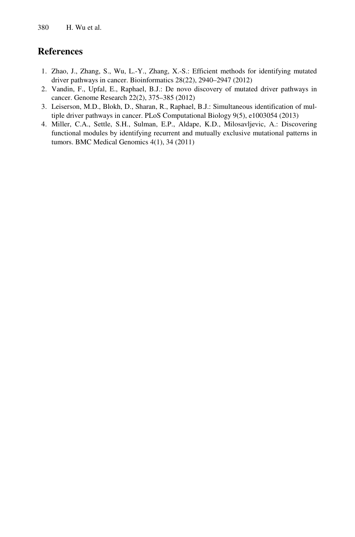- 1. Zhao, J., Zhang, S., Wu, L.-Y., Zhang, X.-S.: Efficient methods for identifying mutated driver pathways in cancer. Bioinformatics 28(22), 2940–2947 (2012)
- 2. Vandin, F., Upfal, E., Raphael, B.J.: De novo discovery of mutated driver pathways in cancer. Genome Research 22(2), 375–385 (2012)
- 3. Leiserson, M.D., Blokh, D., Sharan, R., Raphael, B.J.: Simultaneous identification of multiple driver pathways in cancer. PLoS Computational Biology 9(5), e1003054 (2013)
- 4. Miller, C.A., Settle, S.H., Sulman, E.P., Aldape, K.D., Milosavljevic, A.: Discovering functional modules by identifying recurrent and mutually exclusive mutational patterns in tumors. BMC Medical Genomics 4(1), 34 (2011)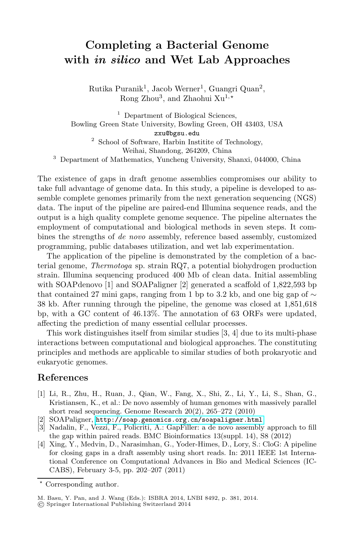## **Completing a Bacterial Genome with** *in silico* **and Wet Lab Approaches**

Rutika Puranik<sup>1</sup>, Jacob Werner<sup>1</sup>, Guangri Quan<sup>2</sup>, Rong Zhou<sup>3</sup>, and Zhaohui Xu<sup>1,\*</sup>

 $1$  Department of Biological Sciences, Bowling Green State University, Bowling Green, OH 43403, USA zxu@bgsu.edu <sup>2</sup> School of Software, Harbin Institite of Technology, Weihai, Shandong, 264209, China <sup>3</sup> Department of Mathematics, Yuncheng University, Shanxi, 044000, China

The existence of gaps in draft genome assemblies compromises our ability to take full advantage of genome data. In this study, a pipeline is developed to assemble complete genomes primarily from the next generation sequencing (NGS) data. The input of the pipeline are paired-end Illumina sequence reads, and the output is a high quality complete genome sequence. The pipeline alternates the employment of computational and biological methods in seven steps. It combines the strengths of *de novo* assembly, reference based assembly, customized programming, public databases utilization, and wet lab experimentation.

The application of the pipeline is demonstrated by the completion of a bacterial genome, *Thermotoga* sp. strain RQ7, a potential biohydrogen production strain. Illumina sequencing produced 400 Mb of clean data. Initial assembling with SOAPdenovo [1] and SOAPaligner [2] generated a scaffold of 1,822,593 bp that contained 27 mini gaps, ranging from 1 bp to 3.2 kb, and one big gap of  $\sim$ 38 kb. After running through the pipeline, the genome was closed at 1,851,618 bp, with a GC content of 46.13%. The annotation of 63 ORFs were updated, affecting the prediction of many essential cellular processes.

This work distinguishes itself from similar studies [3, 4] due to its multi-phase [interactions between computational and biologi](http://soap.genomics.org.cn/soapaligner.html)cal approaches. The constituting principles and methods are applicable to similar studies of both prokaryotic and eukaryotic genomes.

- [1] Li, R., Zhu, H., Ruan, J., Qian, W., Fang, X., Shi, Z., Li, Y., Li, S., Shan, G., Kristiansen, K., et al.: De novo assembly of human genomes with massively parallel short read sequencing. Genome Research 20(2), 265–272 (2010)
- [2] SOAPaligner, http://soap.genomics.org.cn/soapaligner.html
- [3] Nadalin, F., Vezzi, F., Policriti, A.: GapFiller: a de novo assembly approach to fill the gap within paired reads. BMC Bioinformatics 13(suppl. 14), S8 (2012)
- [4] Xing, Y., Medvin, D., Narasimhan, G., Yoder-Himes, D., Lory, S.: CloG: A pipeline for closing gaps in a draft assembly using short reads. In: 2011 IEEE 1st International Conference on Computational Advances in Bio and Medical Sciences (IC-CABS), February 3-5, pp. 202–207 (2011)

<sup>-</sup> Corresponding author.

M. Basu, Y. Pan, and J. Wang (Eds.): ISBRA 2014, LNBI 8492, p. 381, 2014.

<sup>©</sup> Springer International Publishing Switzerland 2014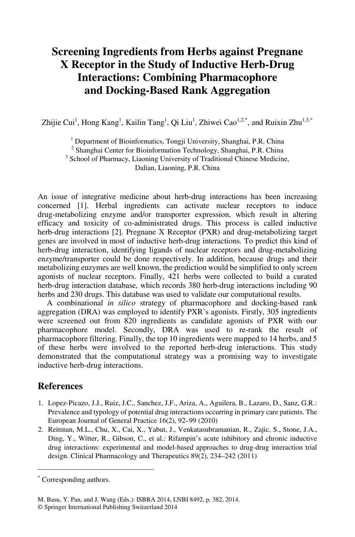## **Screening Ingredients from Herbs against Pregnane X Receptor in the Study of Inductive Herb-Drug Interactions: Combining Pharmacophore and Docking-Based Rank Aggregation**

Zhijie Cui<sup>1</sup>, Hong Kang<sup>1</sup>, Kailin Tang<sup>1</sup>, Qi Liu<sup>1</sup>, Zhiwei Cao<sup>1,2,\*</sup>, and Ruixin Zhu<sup>1,3,\*</sup>

<sup>1</sup> Department of Bioinformatics, Tongji University, Shanghai, P.R. China

<sup>2</sup> Shanghai Center for Bioinformation Technology, Shanghai, P.R. China

<sup>2</sup> Shanghai Center for Bioinformation Technology, Shanghai, P.R. China <sup>3</sup> School of Pharmacy, Liaoning University of Traditional Chinese Medicine,

Dalian, Liaoning, P.R. China

An issue of integrative medicine about herb-drug interactions has been increasing concerned [1]. Herbal ingredients can activate nuclear receptors to induce drug-metabolizing enzyme and/or transporter expression, which result in altering efficacy and toxicity of co-administrated drugs. This process is called inductive herb-drug interactions [2]. Pregnane X Receptor (PXR) and drug-metabolizing target genes are involved in most of inductive herb-drug interactions. To predict this kind of herb-drug interaction, identifying ligands of nuclear receptors and drug-metabolizing enzyme/transporter could be done respectively. In addition, because drugs and their metabolizing enzymes are well known, the prediction would be simplified to only screen agonists of nuclear receptors. Finally, 421 herbs were collected to build a curated herb-drug interaction database, which records 380 herb-drug interactions including 90 herbs and 230 drugs. This database was used to validate our computational results.

A combinational *in silico* strategy of pharmacophore and docking-based rank aggregation (DRA) was employed to identify PXR's agonists. Firstly, 305 ingredients were screened out from 820 ingredients as candidate agonists of PXR with our pharmacophore model. Secondly, DRA was used to re-rank the result of pharmacophore filtering. Finally, the top 10 ingredients were mapped to 14 herbs, and 5 of these herbs were involved to the reported herb-drug interactions. This study demonstrated that the computational strategy was a promising way to investigate inductive herb-drug interactions.

### **References**

- 1. Lopez-Picazo, J.J., Ruiz, J.C., Sanchez, J.F., Ariza, A., Aguilera, B., Lazaro, D., Sanz, G.R.: Prevalence and typology of potential drug interactions occurring in primary care patients. The European Journal of General Practice 16(2), 92–99 (2010)
- 2. Reitman, M.L., Chu, X., Cai, X., Yabut, J., Venkatasubramanian, R., Zajic, S., Stone, J.A., Ding, Y., Witter, R., Gibson, C., et al.: Rifampin's acute inhibitory and chronic inductive drug interactions: experimental and model-based approaches to drug-drug interaction trial design. Clinical Pharmacology and Therapeutics 89(2), 234–242 (2011)

<sup>\*</sup> Corresponding authors.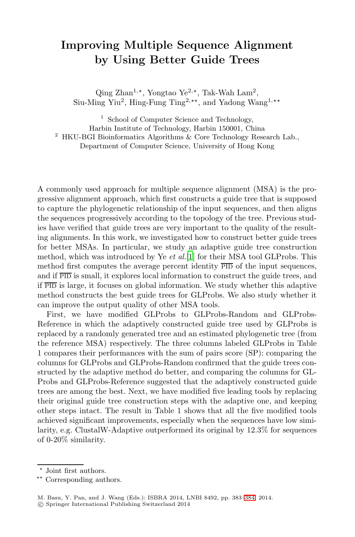## **Improving Multiple Sequence Alignment by Using Better Guide Trees**

Qing Zhan<sup>1,\*</sup>, Yongtao Ye<sup>2,\*</sup>, Tak-Wah Lam<sup>2</sup>, Siu-Ming Yiu<sup>2</sup>, Hing-Fung Ting<sup>2,\*\*</sup>, and Yadong Wang<sup>1,\*\*</sup>

<sup>1</sup> School of Computer Science and Technology, Harbin Institute of Technology, Harbin 150001, China <sup>2</sup> HKU-BGI Bioinformatics Algorithms & Core Technology Research Lab., Department of Computer Science, University of Hong Kong

A commonly used approach for multiple sequence alignment (MSA) is the progressive alignment approach, which first constructs a guide tree that is supposed to capture the phylogenetic relationship of the input sequences, and then aligns the sequences progressively according to the topology of the tree. Previous studies have verified that guide trees are very important to the quality of the resulting alignments. In this work, we investigated how to construct better guide trees for better MSAs. In particular, we study an adaptive guide tree construction method, which was introduced by Ye *et al.*[1] for their MSA tool GLProbs. This method first computes the average percent identity  $\overline{PID}$  of the input sequences, and if  $\overline{PID}$  is small, it explores local information to construct the guide trees, and if  $\overline{PID}$  is large, it focuses on global information. We study whether this adaptive method constructs the best guide trees for GLProbs. We also study whether it can improve the output quality of other MSA tools.

First, we have modified GLProbs to GLProbs-Random and GLProbs-Reference in which the adaptively constructed guide tree used by GLProbs is replaced by a randomly generated tree and an estimated phylogenetic tree (from the reference MSA) respectively. The three columns labeled GLProbs in Table 1 compares their performances with the sum of pairs score (SP): comparing the columns for GLProbs and GLProbs-Random confirmed that the guide trees constructed by the adaptive method do better, and comparing the columns for GL-Probs and GLProbs-Reference suggested that the adaptively constructed guide trees are among the best. Next, we have modified five leading tools by replacing their original guide tree construction steps with the adaptive one, and keeping other steps intact. The result in Table 1 shows that all the five modified tools achieved significant improvements, especially when the sequences have low similarity, e.g. ClustalW-Adaptive outperformed its original by 12.3% for sequences of 0-20% similarity.

 $\star$ Joint first authors.

<sup>\*\*</sup> Corresponding authors.

M. Basu, Y. Pan, and J. Wang (Eds.): ISBRA 2014, LNBI 8492, pp. 383–384, 2014. -c Springer International Publishing Switzerland 2014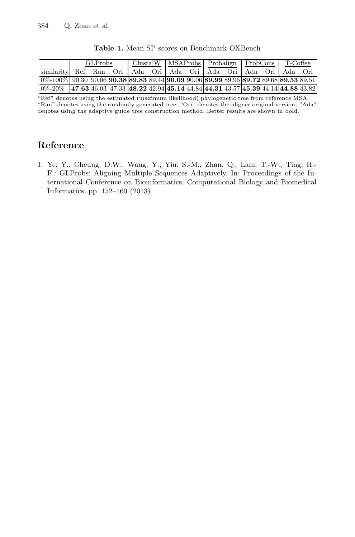|                                                                                                                                            | <b>GLProbs</b> |  |  |  |  | ClustalW MSAProbs Probalign ProbCons T-Coffee |  |  |  |  |  |  |  |
|--------------------------------------------------------------------------------------------------------------------------------------------|----------------|--|--|--|--|-----------------------------------------------|--|--|--|--|--|--|--|
| similarity Ref Ran Ori   Ada Ori   Ada Ori   Ada Ori   Ada Ori   Ada Ori                                                                   |                |  |  |  |  |                                               |  |  |  |  |  |  |  |
| $\frac{0\%}{100\%}$ [90.30 90.06 <b>90.38 [89.83</b> 89.44 <b>[90.09</b> 90.06 <b>[89.99</b> 89.96 <b>[89.72</b> 89.68 <b>[89.53</b> 89.51 |                |  |  |  |  |                                               |  |  |  |  |  |  |  |
| $\frac{0\%}{20\%}$ 47.63 46.03 47.33 48.22 42.94 45.14 44.84 44.31 43.57 45.39 44.14 44.88 43.82                                           |                |  |  |  |  |                                               |  |  |  |  |  |  |  |

**Table 1.** Mean SP scores on Benchmark OXBench

"Ref" denotes using the estimated (maximum likelihood) phylogenetic tree from reference MSA; "Ran" denotes using the randomly generated tree; "Ori" denotes the aligner original version; "Ada" denotes using the adaptive guide tree construction method. Better results are shown in bold.

## **Reference**

1. Ye, Y., Cheung, D.W., Wang, Y., Yiu, S.-M., Zhan, Q., Lam, T.-W., Ting, H.- F.: GLProbs: Aligning Multiple Sequences Adaptively. In: Proceedings of the International Conference on Bioinformatics, Computational Biology and Biomedical Informatics, pp. 152–160 (2013)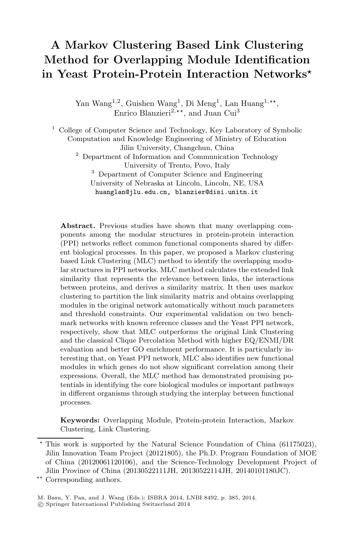# **A Markov Clustering Based Link Clustering Method for Overlapping Module Identification in Yeast Protein-Protein Interaction Networks***-*

Yan Wang<sup>1,2</sup>, Guishen Wang<sup>1</sup>, Di Meng<sup>1</sup>, Lan Huang<sup>1,\*\*</sup>, Enrico Blanzieri<sup>2,\*\*</sup>, and Juan Cui<sup>3</sup>

<sup>1</sup> College of Computer Science and Technology, Key Laboratory of Symbolic Computation and Knowledge Engineering of Ministry of Education Jilin University, Changchun, China

<sup>2</sup> Department of Information and Communication Technology University of Trento, Povo, Italy

<sup>3</sup> Department of Computer Science and Engineering

University of Nebraska at Lincoln, Lincoln, NE, USA

huanglan@jlu.edu.cn, blanzier@disi.unitn.it

**Abstract.** Previous studies have shown that many overlapping components among the modular structures in protein-protein interaction (PPI) networks reflect common functional components shared by different biological processes. In this paper, we proposed a Markov clustering based Link Clustering (MLC) method to identify the overlapping modular structures in PPI networks. MLC method calculates the extended link similarity that represents the relevance between links, the interactions between proteins, and derives a similarity matrix. It then uses markov clustering to partition the link similarity matrix and obtains overlapping modules in the original network automatically without much parameters and threshold constraints. Our experimental validation on two benchmark networks with known reference classes and the Yeast PPI network, respectively, show that MLC outperforms the original Link Clustering and the classical Clique Percolation Method with higher EQ/ENMI/DR evaluation and better GO enrichment performance. It is particularly interesting that, on Yeast PPI network, MLC also identifies new functional modules in which genes do not show significant correlation among their expressions. Overall, the MLC method has demonstrated promising potentials in identifying the core biological modules or important pathways in different organisms through studying the interplay between functional processes.

**Keywords:** Overlapping Module, Protein-protein Interaction, Markov Clustering, Link Clustering.

<sup>\*</sup> This work is supported by the Natural Science Foundation of China (61175023), Jilin Innovation Team Project (20121805), the Ph.D. Program Foundation of MOE of China (20120061120106), and the Science-Technology Development Project of Jilin Province of China (20130522111JH, 20130522114JH, 20140101180JC).

<sup>\*\*</sup> Corresponding authors.

<sup>-</sup>c Springer International Publishing Switzerland 2014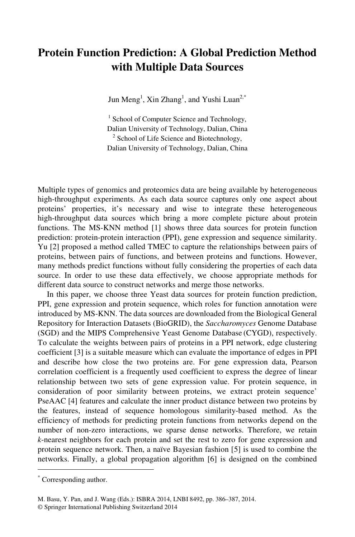## **Protein Function Prediction: A Global Prediction Method with Multiple Data Sources**

Jun Meng<sup>1</sup>, Xin Zhang<sup>1</sup>, and Yushi Luan<sup>2,\*</sup>

<sup>1</sup> School of Computer Science and Technology, Dalian University of Technology, Dalian, China <sup>2</sup> School of Life Science and Biotechnology, Dalian University of Technology, Dalian, China

Multiple types of genomics and proteomics data are being available by heterogeneous high-throughput experiments. As each data source captures only one aspect about proteins' properties, it's necessary and wise to integrate these heterogeneous high-throughput data sources which bring a more complete picture about protein functions. The MS-KNN method [1] shows three data sources for protein function prediction: protein-protein interaction (PPI), gene expression and sequence similarity. Yu [2] proposed a method called TMEC to capture the relationships between pairs of proteins, between pairs of functions, and between proteins and functions. However, many methods predict functions without fully considering the properties of each data source. In order to use these data effectively, we choose appropriate methods for different data source to construct networks and merge those networks.

In this paper, we choose three Yeast data sources for protein function prediction, PPI, gene expression and protein sequence, which roles for function annotation were introduced by MS-KNN. The data sources are downloaded from the Biological General Repository for Interaction Datasets (BioGRID), the *Saccharomyces* Genome Database (SGD) and the MIPS Comprehensive Yeast Genome Database (CYGD), respectively. To calculate the weights between pairs of proteins in a PPI network, edge clustering coefficient [3] is a suitable measure which can evaluate the importance of edges in PPI and describe how close the two proteins are. For gene expression data, Pearson correlation coefficient is a frequently used coefficient to express the degree of linear relationship between two sets of gene expression value. For protein sequence, in consideration of poor similarity between proteins, we extract protein sequence' PseAAC [4] features and calculate the inner product distance between two proteins by the features, instead of sequence homologous similarity-based method. As the efficiency of methods for predicting protein functions from networks depend on the number of non-zero interactions, we sparse dense networks. Therefore, we retain *k*-nearest neighbors for each protein and set the rest to zero for gene expression and protein sequence network. Then, a naïve Bayesian fashion [5] is used to combine the networks. Finally, a global propagation algorithm [6] is designed on the combined

<sup>\*</sup> Corresponding author.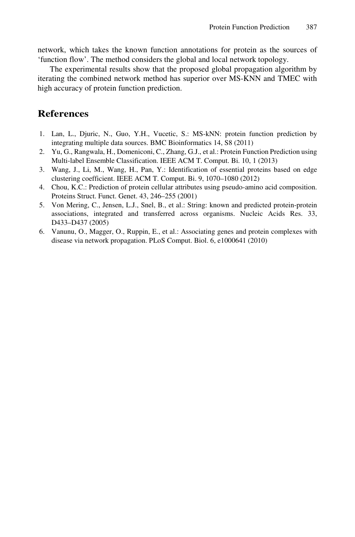network, which takes the known function annotations for protein as the sources of 'function flow'. The method considers the global and local network topology.

The experimental results show that the proposed global propagation algorithm by iterating the combined network method has superior over MS-KNN and TMEC with high accuracy of protein function prediction.

- 1. Lan, L., Djuric, N., Guo, Y.H., Vucetic, S.: MS-kNN: protein function prediction by integrating multiple data sources. BMC Bioinformatics 14, S8 (2011)
- 2. Yu, G., Rangwala, H., Domeniconi, C., Zhang, G.J., et al.: Protein Function Prediction using Multi-label Ensemble Classification. IEEE ACM T. Comput. Bi. 10, 1 (2013)
- 3. Wang, J., Li, M., Wang, H., Pan, Y.: Identification of essential proteins based on edge clustering coefficient. IEEE ACM T. Comput. Bi. 9, 1070–1080 (2012)
- 4. Chou, K.C.: Prediction of protein cellular attributes using pseudo-amino acid composition. Proteins Struct. Funct. Genet. 43, 246–255 (2001)
- 5. Von Mering, C., Jensen, L.J., Snel, B., et al.: String: known and predicted protein-protein associations, integrated and transferred across organisms. Nucleic Acids Res. 33, D433–D437 (2005)
- 6. Vanunu, O., Magger, O., Ruppin, E., et al.: Associating genes and protein complexes with disease via network propagation. PLoS Comput. Biol. 6, e1000641 (2010)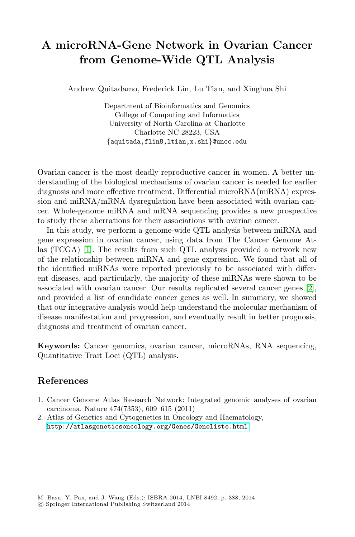# **A microRNA-Gene Network in Ovarian Cancer from Genome-Wide QTL Analysis**

Andrew Quitadamo, Frederick Lin, Lu Tian, and Xinghua Shi

Department of Bioinformatics and Genomics College of Computing and Informatics University of North Carolina at Charlotte Charlotte NC 28223, USA *{*aquitada,flin8,ltian,x.shi*}*@uncc.edu

Ovarian cancer is the most deadly reproductive cancer in women. A better understanding of the biological mechanisms of ovarian cancer is needed for earlier diagnosis and more effective treatment. Differential microRNA(miRNA) expression and miRNA/mRNA dysregulation have been associated with ovarian cancer. Whole-genome miRNA and mRNA sequencing provides a new prospective to study these aberrations for their associations with ovarian cancer.

In this study, we perform a genome-wide QTL analysis between miRNA and gene expression in ovarian cancer, using data from The Cancer Genome Atlas (TCGA) [1]. The results from such QTL analysis provided a network new of the relationship between miRNA and gene expression. We found that all of the identified miRNAs were reported previously to be associated with different diseases, and particularly, the majority of these miRNAs were shown to be associated with ovarian cancer. Our results replicated several cancer genes [2], and provided a list of candidate cancer genes as well. In summary, we showed that our integrative analysis would help understand the molecular mechanism of disease manifestation and progression, and eventually result in better prognosis, diagnosis and treatment of ovarian cancer.

**Keywords:** Cancer genomics, ovarian cancer, microRNAs, RNA sequencing, [Quantitative Trait Loci \(QTL\) analysis.](http://atlasgeneticsoncology.org/Genes/Geneliste.html)

- 1. Cancer Genome Atlas Research Network: Integrated genomic analyses of ovarian carcinoma. Nature 474(7353), 609–615 (2011)
- 2. Atlas of Genetics and Cytogenetics in Oncology and Haematology, http://atlasgeneticsoncology.org/Genes/Geneliste.html

M. Basu, Y. Pan, and J. Wang (Eds.): ISBRA 2014, LNBI 8492, p. 388, 2014. -c Springer International Publishing Switzerland 2014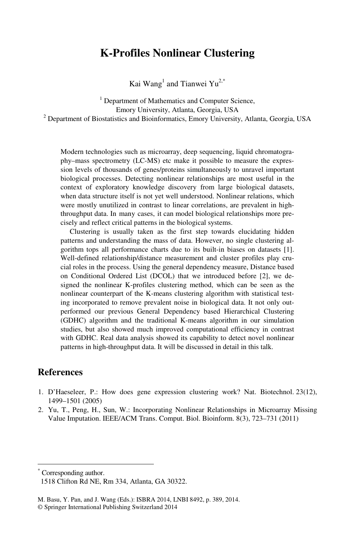## **K-Profiles Nonlinear Clustering**

Kai Wang<sup>1</sup> and Tianwei Yu<sup>2,\*</sup>

<sup>1</sup> Department of Mathematics and Computer Science, Emory University, Atlanta, Georgia, USA<br><sup>2</sup> Department of Biostatistics and Bioinformatics, Emory University, Atlanta, Georgia, USA

Modern technologies such as microarray, deep sequencing, liquid chromatography–mass spectrometry (LC-MS) etc make it possible to measure the expression levels of thousands of genes/proteins simultaneously to unravel important biological processes. Detecting nonlinear relationships are most useful in the context of exploratory knowledge discovery from large biological datasets, when data structure itself is not yet well understood. Nonlinear relations, which were mostly unutilized in contrast to linear correlations, are prevalent in highthroughput data. In many cases, it can model biological relationships more precisely and reflect critical patterns in the biological systems.

Clustering is usually taken as the first step towards elucidating hidden patterns and understanding the mass of data. However, no single clustering algorithm tops all performance charts due to its built-in biases on datasets [1]. Well-defined relationship/distance measurement and cluster profiles play crucial roles in the process. Using the general dependency measure, Distance based on Conditional Ordered List (DCOL) that we introduced before [2], we designed the nonlinear K-profiles clustering method, which can be seen as the nonlinear counterpart of the K-means clustering algorithm with statistical testing incorporated to remove prevalent noise in biological data. It not only outperformed our previous General Dependency based Hierarchical Clustering (GDHC) algorithm and the traditional K-means algorithm in our simulation studies, but also showed much improved computational efficiency in contrast with GDHC. Real data analysis showed its capability to detect novel nonlinear patterns in high-throughput data. It will be discussed in detail in this talk.

### **References**

- 1. D'Haeseleer, P.: How does gene expression clustering work? Nat. Biotechnol. 23(12), 1499–1501 (2005)
- 2. Yu, T., Peng, H., Sun, W.: Incorporating Nonlinear Relationships in Microarray Missing Value Imputation. IEEE/ACM Trans. Comput. Biol. Bioinform. 8(3), 723–731 (2011)

\* Corresponding author.

<sup>1518</sup> Clifton Rd NE, Rm 334, Atlanta, GA 30322.

M. Basu, Y. Pan, and J. Wang (Eds.): ISBRA 2014, LNBI 8492, p. 389, 2014. © Springer International Publishing Switzerland 2014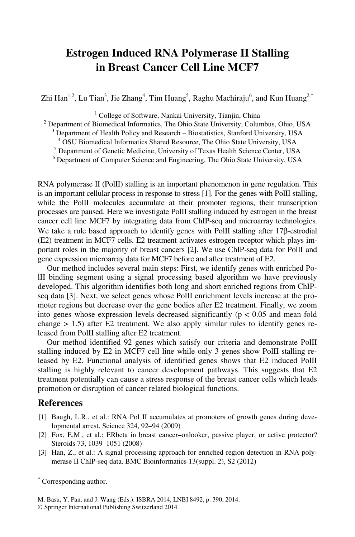## **Estrogen Induced RNA Polymerase II Stalling in Breast Cancer Cell Line MCF7**

Zhi Han<sup>1,2</sup>, Lu Tian<sup>3</sup>, Jie Zhang<sup>4</sup>, Tim Huang<sup>5</sup>, Raghu Machiraju<sup>6</sup>, and Kun Huang<sup>2,\*</sup>

<sup>1</sup> College of Software, Nankai University, Tianjin, China

<sup>1</sup> College of Software, Nankai University, Tianjin, China<br><sup>2</sup> Department of Biomedical Informatics, The Ohio State University, Columbus, Ohio, USA

<sup>3</sup> Department of Health Policy and Research – Biostatistics, Stanford University, USA <sup>4</sup> OSU Biomedical Informatics Shared Resource, The Ohio State University, USA

<sup>4</sup> OSU Biomedical Informatics Shared Resource, The Ohio State University, USA<br><sup>5</sup> Department of Genetic Medicine, University of Texas Health Science Center, USA

<sup>6</sup> Department of Computer Science and Engineering, The Ohio State University, USA

RNA polymerase II (PolII) stalling is an important phenomenon in gene regulation. This is an important cellular process in response to stress [1]. For the genes with PolII stalling, while the PolII molecules accumulate at their promoter regions, their transcription processes are paused. Here we investigate PolII stalling induced by estrogen in the breast cancer cell line MCF7 by integrating data from ChIP-seq and microarray technologies. We take a rule based approach to identify genes with PolII stalling after 17β-estrodial (E2) treatment in MCF7 cells. E2 treatment activates estrogen receptor which plays important roles in the majority of breast cancers [2]. We use ChIP-seq data for PolII and gene expression microarray data for MCF7 before and after treatment of E2.

Our method includes several main steps: First, we identify genes with enriched PolII binding segment using a signal processing based algorithm we have previously developed. This algorithm identifies both long and short enriched regions from ChIPseq data [3]. Next, we select genes whose PolII enrichment levels increase at the promoter regions but decrease over the gene bodies after E2 treatment. Finally, we zoom into genes whose expression levels decreased significantly ( $p < 0.05$  and mean fold change  $> 1.5$ ) after E2 treatment. We also apply similar rules to identify genes released from PolII stalling after E2 treatment.

Our method identified 92 genes which satisfy our criteria and demonstrate PolII stalling induced by E2 in MCF7 cell line while only 3 genes show PolII stalling released by E2. Functional analysis of identified genes shows that E2 induced PolII stalling is highly relevant to cancer development pathways. This suggests that E2 treatment potentially can cause a stress response of the breast cancer cells which leads promotion or disruption of cancer related biological functions.

### **References**

- [1] Baugh, L.R., et al.: RNA Pol II accumulates at promoters of growth genes during developmental arrest. Science 324, 92–94 (2009)
- [2] Fox, E.M., et al.: ERbeta in breast cancer–onlooker, passive player, or active protector? Steroids 73, 1039–1051 (2008)
- [3] Han, Z., et al.: A signal processing approach for enriched region detection in RNA polymerase II ChIP-seq data. BMC Bioinformatics 13(suppl. 2), S2 (2012)

<sup>\*</sup> Corresponding author.

<sup>©</sup> Springer International Publishing Switzerland 2014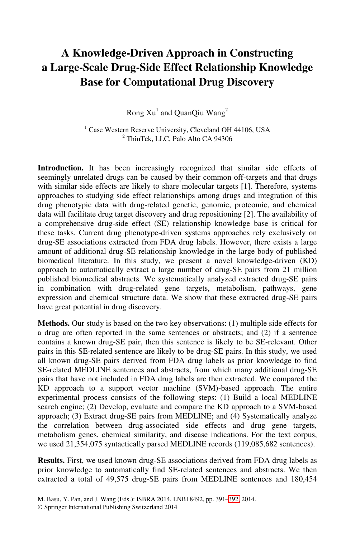# **A Knowledge-Driven Approach in Constructing a Large-Scale Drug-Side Effect Relationship Knowledge Base for Computational Drug Discovery**

Rong  $Xu<sup>1</sup>$  and QuanQiu Wang<sup>2</sup>

<sup>1</sup> Case Western Reserve University, Cleveland OH 44106, USA  $^{2}$  Thin Tek, LLC, Palo Alto CA 94306 <sup>2</sup> ThinTek, LLC, Palo Alto CA 94306

Introduction. It has been increasingly recognized that similar side effects of seemingly unrelated drugs can be caused by their common off-targets and that drugs with similar side effects are likely to share molecular targets [1]. Therefore, systems approaches to studying side effect relationships among drugs and integration of this drug phenotypic data with drug-related genetic, genomic, proteomic, and chemical data will facilitate drug target discovery and drug repositioning [2]. The availability of a comprehensive drug-side effect (SE) relationship knowledge base is critical for these tasks. Current drug phenotype-driven systems approaches rely exclusively on drug-SE associations extracted from FDA drug labels. However, there exists a large amount of additional drug-SE relationship knowledge in the large body of published biomedical literature. In this study, we present a novel knowledge-driven (KD) approach to automatically extract a large number of drug-SE pairs from 21 million published biomedical abstracts. We systematically analyzed extracted drug-SE pairs in combination with drug-related gene targets, metabolism, pathways, gene expression and chemical structure data. We show that these extracted drug-SE pairs have great potential in drug discovery.

**Methods.** Our study is based on the two key observations: (1) multiple side effects for a drug are often reported in the same sentences or abstracts; and (2) if a sentence contains a known drug-SE pair, then this sentence is likely to be SE-relevant. Other pairs in this SE-related sentence are likely to be drug-SE pairs. In this study, we used all known drug-SE pairs derived from FDA drug labels as prior knowledge to find SE-related MEDLINE sentences and abstracts, from which many additional drug-SE pairs that have not included in FDA drug labels are then extracted. We compared the KD approach to a support vector machine (SVM)-based approach. The entire experimental process consists of the following steps: (1) Build a local MEDLINE search engine; (2) Develop, evaluate and compare the KD approach to a SVM-based approach; (3) Extract drug-SE pairs from MEDLINE; and (4) Systematically analyze the correlation between drug-assoc[iated](#page-25-0) side effects and drug gene targets, metabolism genes, chemical similarity, and disease indications. For the text corpus, we used 21,354,075 syntactically parsed MEDLINE records (119,085,682 sentences).

**Results.** First, we used known drug-SE associations derived from FDA drug labels as prior knowledge to automatically find SE-related sentences and abstracts. We then extracted a total of 49,575 drug-SE pairs from MEDLINE sentences and 180,454

M. Basu, Y. Pan, and J. Wang (Eds.): ISBRA 2014, LNBI 8492, pp. 391–392, 2014. © Springer International Publishing Switzerland 2014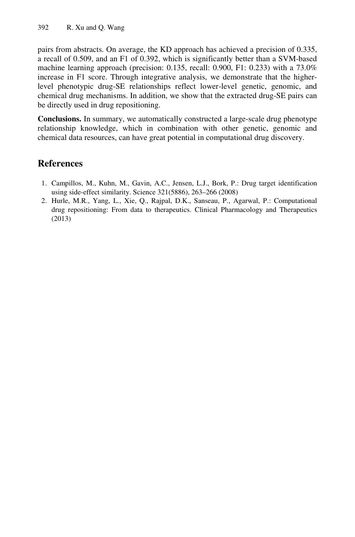<span id="page-25-0"></span>pairs from abstracts. On average, the KD approach has achieved a precision of 0.335, a recall of 0.509, and an F1 of 0.392, which is significantly better than a SVM-based machine learning approach (precision: 0.135, recall: 0.900, F1: 0.233) with a 73.0% increase in F1 score. Through integrative analysis, we demonstrate that the higherlevel phenotypic drug-SE relationships reflect lower-level genetic, genomic, and chemical drug mechanisms. In addition, we show that the extracted drug-SE pairs can be directly used in drug repositioning.

**Conclusions.** In summary, we automatically constructed a large-scale drug phenotype relationship knowledge, which in combination with other genetic, genomic and chemical data resources, can have great potential in computational drug discovery.

- 1. Campillos, M., Kuhn, M., Gavin, A.C., Jensen, L.J., Bork, P.: Drug target identification using side-effect similarity. Science 321(5886), 263–266 (2008)
- 2. Hurle, M.R., Yang, L., Xie, Q., Rajpal, D.K., Sanseau, P., Agarwal, P.: Computational drug repositioning: From data to therapeutics. Clinical Pharmacology and Therapeutics (2013)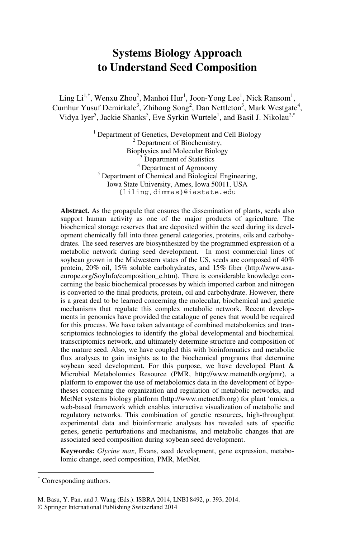## **Systems Biology Approach to Understand Seed Composition**

Ling  $Li^{1,*}$ , Wenxu Zhou<sup>2</sup>, Manhoi Hur<sup>1</sup>, Joon-Yong Lee<sup>1</sup>, Nick Ransom<sup>1</sup>, Cumhur Yusuf Demirkale<sup>3</sup>, Zhihong Song<sup>2</sup>, Dan Nettleton<sup>3</sup>, Mark Westgate<sup>4</sup>, Vidya Iyer<sup>5</sup>, Jackie Shanks<sup>5</sup>, Eve Syrkin Wurtele<sup>1</sup>, and Basil J. Nikolau<sup>2,\*</sup>

> <sup>1</sup> Department of Genetics, Development and Cell Biology<br> $\frac{2 \text{ Department of Biochemistry}}{2}$ <sup>2</sup> Department of Biochemistry, Biophysics and Molecular Biology 3 <sup>3</sup> Department of Statistics <sup>4</sup> Department of Agronomy <sup>5</sup> Department of Agronomy<br><sup>5</sup> Department of Chemical and Biological Engineering, Iowa State University, Ames, Iowa 50011, USA {liling,dimmas}@iastate.edu

**Abstract.** As the propagule that ensures the dissemination of plants, seeds also support human activity as one of the major products of agriculture. The biochemical storage reserves that are deposited within the seed during its development chemically fall into three general categories, proteins, oils and carbohydrates. The seed reserves are biosynthesized by the programmed expression of a metabolic network during seed development. In most commercial lines of soybean grown in the Midwestern states of the US, seeds are composed of 40% protein, 20% oil, 15% soluble carbohydrates, and 15% fiber (http://www.asaeurope.org/SoyInfo/composition\_e.htm). There is considerable knowledge concerning the basic biochemical processes by which imported carbon and nitrogen is converted to the final products, protein, oil and carbohydrate. However, there is a great deal to be learned concerning the molecular, biochemical and genetic mechanisms that regulate this complex metabolic network. Recent developments in genomics have provided the catalogue of genes that would be required for this process. We have taken advantage of combined metabolomics and transcriptomics technologies to identify the global developmental and biochemical transcriptomics network, and ultimately determine structure and composition of the mature seed. Also, we have coupled this with bioinformatics and metabolic flux analyses to gain insights as to the biochemical programs that determine soybean seed development. For this purpose, we have developed Plant & Microbial Metabolomics Resource (PMR, http://www.metnetdb.org/pmr), a platform to empower the use of metabolomics data in the development of hypotheses concerning the organization and regulation of metabolic networks, and MetNet systems biology platform (http://www.metnetdb.org) for plant 'omics, a web-based framework which enables interactive visualization of metabolic and regulatory networks. This combination of genetic resources, high-throughput experimental data and bioinformatic analyses has revealed sets of specific genes, genetic perturbations and mechanisms, and metabolic changes that are associated seed composition during soybean seed development.

**Keywords:** *Glycine max*, Evans, seed development, gene expression, metabolomic change, seed composition, PMR, MetNet.

-

<sup>\*</sup> Corresponding authors.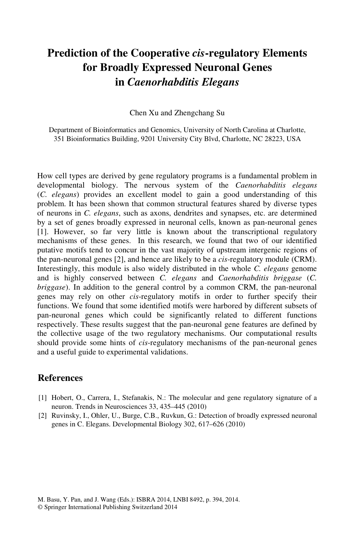# **Prediction of the Cooperative** *cis***-regulatory Elements for Broadly Expressed Neuronal Genes in** *Caenorhabditis Elegans*

Chen Xu and Zhengchang Su

Department of Bioinformatics and Genomics, University of North Carolina at Charlotte, 351 Bioinformatics Building, 9201 University City Blvd, Charlotte, NC 28223, USA

How cell types are derived by gene regulatory programs is a fundamental problem in developmental biology. The nervous system of the *Caenorhabditis elegans* (*C. elegans*) provides an excellent model to gain a good understanding of this problem. It has been shown that common structural features shared by diverse types of neurons in *C. elegans*, such as axons, dendrites and synapses, etc. are determined by a set of genes broadly expressed in neuronal cells, known as pan-neuronal genes [1]. However, so far very little is known about the transcriptional regulatory mechanisms of these genes. In this research, we found that two of our identified putative motifs tend to concur in the vast majority of upstream intergenic regions of the pan-neuronal genes [2], and hence are likely to be a *cis*-regulatory module (CRM). Interestingly, this module is also widely distributed in the whole *C. elegans* genome and is highly conserved between *C. elegans* and *Caenorhabditis briggase* (*C. briggase*). In addition to the general control by a common CRM, the pan-neuronal genes may rely on other *cis*-regulatory motifs in order to further specify their functions. We found that some identified motifs were harbored by different subsets of pan-neuronal genes which could be significantly related to different functions respectively. These results suggest that the pan-neuronal gene features are defined by the collective usage of the two regulatory mechanisms. Our computational results should provide some hints of *cis*-regulatory mechanisms of the pan-neuronal genes and a useful guide to experimental validations.

- [1] Hobert, O., Carrera, I., Stefanakis, N.: The molecular and gene regulatory signature of a neuron. Trends in Neurosciences 33, 435–445 (2010)
- [2] Ruvinsky, I., Ohler, U., Burge, C.B., Ruvkun, G.: Detection of broadly expressed neuronal genes in C. Elegans. Developmental Biology 302, 617–626 (2010)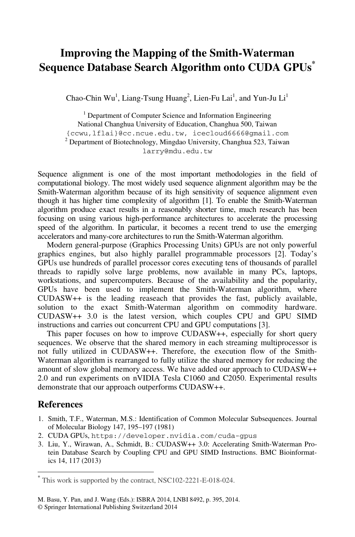## **Improving the Mapping of the Smith-Waterman Sequence Database Search Algorithm onto CUDA GPUs\***

Chao-Chin  $W\mathbf{u}^1$ , Liang-Tsung Huang<sup>2</sup>, Lien-Fu Lai<sup>1</sup>, and Yun-Ju Li<sup>1</sup>

<sup>1</sup> Department of Computer Science and Information Engineering National Changhua University of Education, Changhua 500, Taiwan {ccwu,lflai}@cc.ncue.edu.tw, icecloud6666@gmail.com <sup>2</sup> Department of Biotechnology, Mingdao University, Changhua 523, Taiwan larry@mdu.edu.tw

Sequence alignment is one of the most important methodologies in the field of computational biology. The most widely used sequence alignment algorithm may be the Smith-Waterman algorithm because of its high sensitivity of sequence alignment even though it has higher time complexity of algorithm [1]. To enable the Smith-Waterman algorithm produce exact results in a reasonably shorter time, much research has been focusing on using various high-performance architectures to accelerate the processing speed of the algorithm. In particular, it becomes a recent trend to use the emerging accelerators and many-core architectures to run the Smith-Waterman algorithm.

Modern general-purpose (Graphics Processing Units) GPUs are not only powerful graphics engines, but also highly parallel programmable processors [2]. Today's GPUs use hundreds of parallel processor cores executing tens of thousands of parallel threads to rapidly solve large problems, now available in many PCs, laptops, workstations, and supercomputers. Because of the availability and the popularity, GPUs have been used to implement the Smith-Waterman algorithm, where CUDASW++ is the leading reaseach that provides the fast, publicly available, solution to the exact Smith-Waterman algorithm on commodity hardware. CUDASW++ 3.0 is the latest version, which couples CPU and GPU SIMD instructions and carries out concurrent CPU and GPU computations [3].

This paper focuses on how to improve CUDASW++, especially for short query sequences. We observe that the shared memory in each streaming multiprocessor is not fully utilized in CUDASW++. Therefore, the execution flow of the Smith-Waterman algorithm is rearranged to fully utilize the shared memory for reducing the amount of slow global memory access. We have added our approach to CUDASW++ 2.0 and run experiments on nVIDIA Tesla C1060 and C2050. Experimental results demonstrate that our approach outperforms CUDASW++.

### **References**

-

- 1. Smith, T.F., Waterman, M.S.: Identification of Common Molecular Subsequences. Journal of Molecular Biology 147, 195–197 (1981)
- 2. CUDA GPUs, https://developer.nvidia.com/cuda-gpus
- 3. Liu, Y., Wirawan, A., Schmidt, B.: CUDASW++ 3.0: Accelerating Smith-Waterman Protein Database Search by Coupling CPU and GPU SIMD Instructions. BMC Bioinformatics 14, 117 (2013)

This work is supported by the contract, NSC102-2221-E-018-024.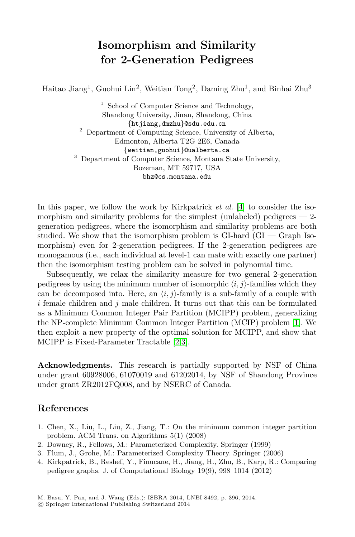## **Isomorphism and Similarity for 2-Generation Pedigrees**

Haitao Jiang<sup>1</sup>, Guohui Lin<sup>2</sup>, Weitian Tong<sup>2</sup>, Daming Zhu<sup>1</sup>, and Binhai Zhu<sup>3</sup>

 $^{\rm 1}$  School of Computer Science and Technology, Shandong University, Jinan, Shandong, China <sup>2</sup> Department of Computing Science, University of Alberta, Edmonton, Alberta T2G 2E6, Canada *{*weitian,guohui*}*@ualberta.ca <sup>3</sup> Department of Computer Science, Montana State University, Bozeman, MT 59717, USA bhz@cs.montana.edu

In this paper, we follow the work by Kirkpatrick *et al.* [4] to consider the isomorphism and similarity problems for the simplest (unlabeled) pedigrees  $-2$ generation pedigrees, where the isomorphism and similarity problems are both studied. We show that the isomorphism problem is  $GI$ -hard  $(GI - Graph Iso$ morphism) even for 2-generation pedigrees. If the 2-generation pedigrees are monogamous (i.e., each individual at level-1 can mate with exactly one partner) then the isomorphism testing problem can be solved in polynomial time.

Subsequently, we relax the similarity measure for two general 2-generation pedigrees by using the minimum number of isomorphic  $\langle i, j \rangle$ -families which they can be decomposed into. Here, an  $\langle i, j \rangle$ -family is a sub-family of a couple with *i* female children and *j* male children. It turns out that this can be formulated as a Minimum Common Integer Pair Partition (MCIPP) problem, generalizing the NP-complete Minimum Common Integer Partition (MCIP) problem [1]. We then exploit a new property of the optimal solution for MCIPP, and show that MCIPP is Fixed-Parameter Tractable [2,3].

**Acknowledgments.** This research is partially supported by NSF of China under grant 60928006, 61070019 and 61202014, by NSF of Shandong Province under grant ZR2012FQ008, and by NSERC of Canada.

- 1. Chen, X., Liu, L., Liu, Z., Jiang, T.: On the minimum common integer partition problem. ACM Trans. on Algorithms 5(1) (2008)
- 2. Downey, R., Fellows, M.: Parameterized Complexity. Springer (1999)
- 3. Flum, J., Grohe, M.: Parameterized Complexity Theory. Springer (2006)
- 4. Kirkpatrick, B., Reshef, Y., Finucane, H., Jiang, H., Zhu, B., Karp, R.: Comparing pedigree graphs. J. of Computational Biology 19(9), 998–1014 (2012)

M. Basu, Y. Pan, and J. Wang (Eds.): ISBRA 2014, LNBI 8492, p. 396, 2014.

<sup>-</sup>c Springer International Publishing Switzerland 2014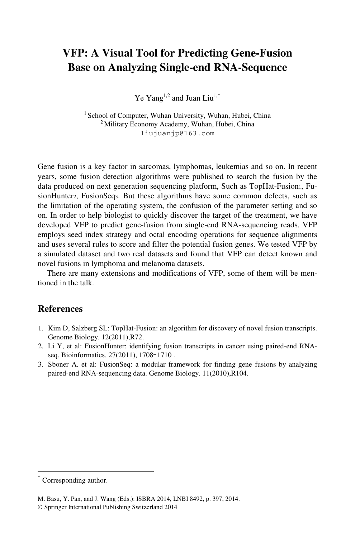# **VFP: A Visual Tool for Predicting Gene-Fusion Base on Analyzing Single-end RNA-Sequence**

Ye Yang<sup>1,2</sup> and Juan Liu<sup>1,\*</sup>

<sup>1</sup> School of Computer, Wuhan University, Wuhan, Hubei, China <sup>2</sup> Military Economy Academy, Wuhan, Hubei, China liujuanjp@163.com

Gene fusion is a key factor in sarcomas, lymphomas, leukemias and so on. In recent years, some fusion detection algorithms were published to search the fusion by the data produced on next generation sequencing platform, Such as TopHat-Fusion1, FusionHunter2, FusionSeq3. But these algorithms have some common defects, such as the limitation of the operating system, the confusion of the parameter setting and so on. In order to help biologist to quickly discover the target of the treatment, we have developed VFP to predict gene-fusion from single-end RNA-sequencing reads. VFP employs seed index strategy and octal encoding operations for sequence alignments and uses several rules to score and filter the potential fusion genes. We tested VFP by a simulated dataset and two real datasets and found that VFP can detect known and novel fusions in lymphoma and melanoma datasets.

There are many extensions and modifications of VFP, some of them will be mentioned in the talk.

### **References**

- 1. Kim D, Salzberg SL: TopHat-Fusion: an algorithm for discovery of novel fusion transcripts. Genome Biology. 12(2011),R72.
- 2. Li Y, et al: FusionHunter: identifying fusion transcripts in cancer using paired-end RNAseq. Bioinformatics. 27(2011), 1708-1710.
- –1710 .<br>|ular fra<br>|enome ] 3. Sboner A. et al: FusionSeq: a modular framework for finding gene fusions by analyzing paired-end RNA-sequencing data. Genome Biology. 11(2010),R104.

Corresponding author.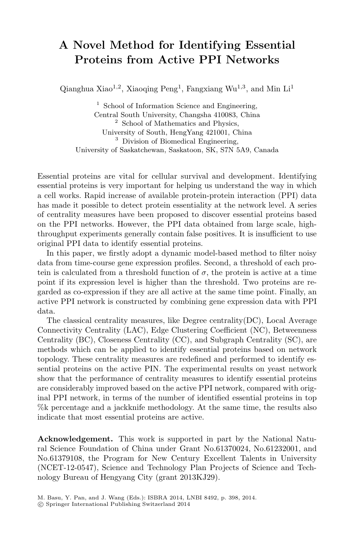# **A Novel Method for Identifying Essential Proteins from Active PPI Networks**

Qianghua Xiao<sup>1</sup>*,*<sup>2</sup>, Xiaoqing Peng<sup>1</sup>, Fangxiang Wu<sup>1</sup>*,*<sup>3</sup>, and Min Li<sup>1</sup>

<sup>1</sup> School of Information Science and Engineering, Central South University, Changsha 410083, China <sup>2</sup> School of Mathematics and Physics, University of South, HengYang 421001, China <sup>3</sup> Division of Biomedical Engineering, University of Saskatchewan, Saskatoon, SK, S7N 5A9, Canada

Essential proteins are vital for cellular survival and development. Identifying essential proteins is very important for helping us understand the way in which a cell works. Rapid increase of available protein-protein interaction (PPI) data has made it possible to detect protein essentiality at the network level. A series of centrality measures have been proposed to discover essential proteins based on the PPI networks. However, the PPI data obtained from large scale, highthroughput experiments generally contain false positives. It is insufficient to use original PPI data to identify essential proteins.

In this paper, we firstly adopt a dynamic model-based method to filter noisy data from time-course gene expression profiles. Second, a threshold of each protein is calculated from a threshold function of  $\sigma$ , the protein is active at a time point if its expression level is higher than the threshold. Two proteins are regarded as co-expression if they are all active at the same time point. Finally, an active PPI network is constructed by combining gene expression data with PPI data.

The classical centrality measures, like Degree centrality(DC), Local Average Connectivity Centrality (LAC), Edge Clustering Coefficient (NC), Betweenness Centrality (BC), Closeness Centrality (CC), and Subgraph Centrality (SC), are methods which can be applied to identify essential proteins based on network topology. These centrality measures are redefined and performed to identify essential proteins on the active PIN. The experimental results on yeast network show that the performance of centrality measures to identify essential proteins are considerably improved based on the active PPI network, compared with original PPI network, in terms of the number of identified essential proteins in top %k percentage and a jackknife methodology. At the same time, the results also indicate that most essential proteins are active.

**Acknowledgement.** This work is supported in part by the National Natural Science Foundation of China under Grant No.61370024, No.61232001, and No.61379108, the Program for New Century Excellent Talents in University (NCET-12-0547), Science and Technology Plan Projects of Science and Technology Bureau of Hengyang City (grant 2013KJ29).

M. Basu, Y. Pan, and J. Wang (Eds.): ISBRA 2014, LNBI 8492, p. 398, 2014.

<sup>-</sup>c Springer International Publishing Switzerland 2014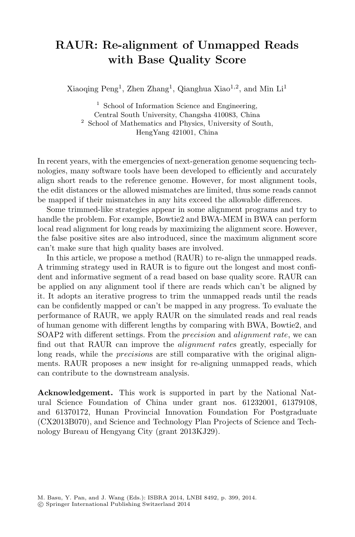# **RAUR: Re-alignment of Unmapped Reads with Base Quality Score**

Xiaoqing Peng<sup>1</sup>, Zhen Zhang<sup>1</sup>, Qianghua Xiao<sup>1,2</sup>, and Min Li<sup>1</sup>

<sup>1</sup> School of Information Science and Engineering, Central South University, Changsha 410083, China <sup>2</sup> School of Mathematics and Physics, University of South, HengYang 421001, China

In recent years, with the emergencies of next-generation genome sequencing technologies, many software tools have been developed to efficiently and accurately align short reads to the reference genome. However, for most alignment tools, the edit distances or the allowed mismatches are limited, thus some reads cannot be mapped if their mismatches in any hits exceed the allowable differences.

Some trimmed-like strategies appear in some alignment programs and try to handle the problem. For example, Bowtie2 and BWA-MEM in BWA can perform local read alignment for long reads by maximizing the alignment score. However, the false positive sites are also introduced, since the maximum alignment score can't make sure that high quality bases are involved.

In this article, we propose a method (RAUR) to re-align the unmapped reads. A trimming strategy used in RAUR is to figure out the longest and most confident and informative segment of a read based on base quality score. RAUR can be applied on any alignment tool if there are reads which can't be aligned by it. It adopts an iterative progress to trim the unmapped reads until the reads can be confidently mapped or can't be mapped in any progress. To evaluate the performance of RAUR, we apply RAUR on the simulated reads and real reads of human genome with different lengths by comparing with BWA, Bowtie2, and SOAP2 with different settings. From the *precision* and *alignment rate*, we can find out that RAUR can improve the *alignment rate*s greatly, especially for long reads, while the *precision*s are still comparative with the original alignments. RAUR proposes a new insight for re-aligning unmapped reads, which can contribute to the downstream analysis.

**Acknowledgement.** This work is supported in part by the National Natural Science Foundation of China under grant nos. 61232001, 61379108, and 61370172, Hunan Provincial Innovation Foundation For Postgraduate (CX2013B070), and Science and Technology Plan Projects of Science and Technology Bureau of Hengyang City (grant 2013KJ29).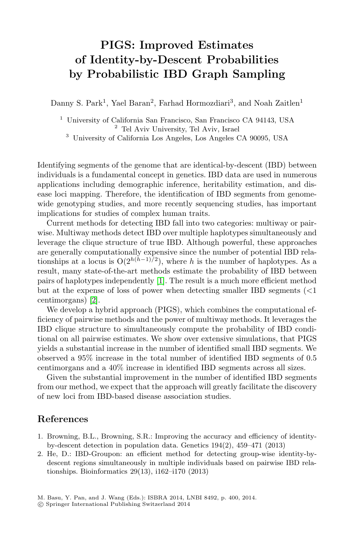# **PIGS: Improved Estimates of Identity-by-Descent Probabilities by Probabilistic IBD Graph Sampling**

Danny S. Park<sup>1</sup>, Yael Baran<sup>2</sup>, Farhad Hormozdiari<sup>3</sup>, and Noah Zaitlen<sup>1</sup>

<sup>1</sup> University of California San Francisco, San Francisco CA 94143, USA <sup>2</sup> Tel Aviv University, Tel Aviv, Israel <sup>3</sup> University of California Los Angeles, Los Angeles CA 90095, USA

Identifying segments of the genome that are identical-by-descent (IBD) between individuals is a fundamental concept in genetics. IBD data are used in numerous applications including demographic inference, heritability estimation, and disease loci mapping. Therefore, the identification of IBD segments from genomewide genotyping studies, and more recently sequencing studies, has important implications for studies of complex human traits.

Current methods for detecting IBD fall into two categories: multiway or pairwise. Multiway methods detect IBD over multiple haplotypes simultaneously and leverage the clique structure of true IBD. Although powerful, these approaches are generally computationally expensive since the number of potential IBD relationships at a locus is  $O(2^{h(\tilde{h}-1)/2})$ , where *h* is the number of haplotypes. As a result, many state-of-the-art methods estimate the probability of IBD between pairs of haplotypes independently [1]. The result is a much more efficient method but at the expense of loss of power when detecting smaller IBD segments (*<*1 centimorgans) [2].

We develop a hybrid approach (PIGS), which combines the computational efficiency of pairwise methods and the power of multiway methods. It leverages the IBD clique structure to simultaneously compute the probability of IBD conditional on all pairwise estimates. We show over extensive simulations, that PIGS yields a substantial increase in the number of identified small IBD segments. We observed a 95% increase in the total number of identified IBD segments of 0.5 centimorgans and a 40% increase in identified IBD segments across all sizes.

Given the substantial improvement in the number of identified IBD segments from our method, we expect that the approach will greatly facilitate the discovery of new loci from IBD-based disease association studies.

- 1. Browning, B.L., Browning, S.R.: Improving the accuracy and efficiency of identityby-descent detection in population data. Genetics 194(2), 459–471 (2013)
- 2. He, D.: IBD-Groupon: an efficient method for detecting group-wise identity-bydescent regions simultaneously in multiple individuals based on pairwise IBD relationships. Bioinformatics 29(13), i162–i170 (2013)

M. Basu, Y. Pan, and J. Wang (Eds.): ISBRA 2014, LNBI 8492, p. 400, 2014.

<sup>∈</sup>c Springer International Publishing Switzerland 2014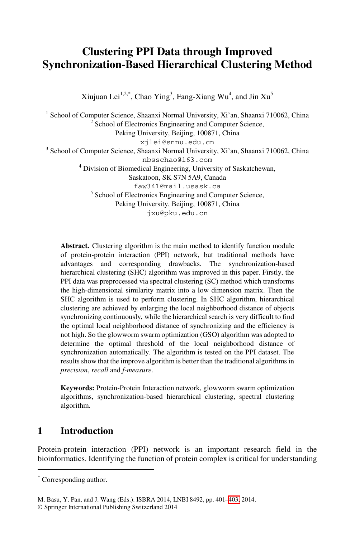## **Clustering PPI Data through Improved Synchronization-Based Hierarchical Clustering Method**

Xiujuan Lei<sup>1,2,\*</sup>, Chao Ying<sup>3</sup>, Fang-Xiang Wu<sup>4</sup>, and Jin Xu<sup>5</sup>

<sup>1</sup> School of Computer Science, Shaanxi Normal University, Xi'an, Shaanxi 710062, China <sup>2</sup> School of Electronics Engineering and Computer Science <sup>2</sup> School of Electronics Engineering and Computer Science, Peking University, Beijing, 100871, China xjlei@snnu.edu.cn <sup>3</sup> School of Computer Science, Shaanxi Normal University, Xi'an, Shaanxi 710062, China nbsschao@163.com 4 Division of Biomedical Engineering, University of Saskatchewan, Saskatoon, SK S7N 5A9, Canada faw341@mail.usask.ca <sup>5</sup> School of Electronics Engineering and Computer Science, Peking University, Beijing, 100871, China jxu@pku.edu.cn

**Abstract.** Clustering algorithm is the main method to identify function module of protein-protein interaction (PPI) network, but traditional methods have advantages and corresponding drawbacks. The synchronization-based hierarchical clustering (SHC) algorithm was improved in this paper. Firstly, the PPI data was preprocessed via spectral clustering (SC) method which transforms the high-dimensional similarity matrix into a low dimension matrix. Then the SHC algorithm is used to perform clustering. In SHC algorithm, hierarchical clustering are achieved by enlarging the local neighborhood distance of objects synchronizing continuously, while the hierarchical search is very difficult to find the optimal local neighborhood distance of synchronizing and the efficiency is not high. So the glowworm swarm optimization (GSO) algorithm was adopted to determine the optimal threshold of the local neighborhood distance of synchronization automatically. The algorithm is tested on the PPI dataset. The results show that the improve algorithm is better than the traditional algorithms in *precision*, *recall* and *f-measure*.

**Keywords:** Protein-Protein Interaction network, glowworm swarm optimization algorithms, synchronization-based hierarchical clustering, spectral clustering algorithm.

### **1 Introduction**

Protein-protein interaction (PPI) network is an important research field in the bioinformatics. Identifying the function of protein complex is critical for understanding

-

<sup>\*</sup> Corresponding author.

M. Basu, Y. Pan, and J. Wang (Eds.): ISBRA 2014, LNBI 8492, pp. 401–403, 2014.

<sup>©</sup> Springer International Publishing Switzerland 2014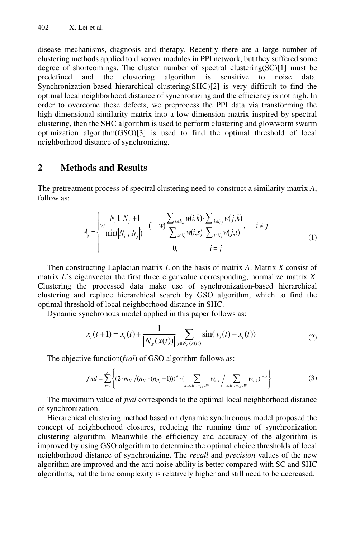disease mechanisms, diagnosis and therapy. Recently there are a large number of clustering methods applied to discover modules in PPI network, but they suffered some degree of shortcomings. The cluster number of spectral clustering(SC)[1] must be predefined and the clustering algorithm is sensitive to noise data. Synchronization-based hierarchical clustering(SHC)[2] is very difficult to find the optimal local neighborhood distance of synchronizing and the efficiency is not high. In order to overcome these defects, we preprocess the PPI data via transforming the high-dimensional similarity matrix into a low dimension matrix inspired by spectral clustering, then the SHC algorithm is used to perform clustering and glowworm swarm optimization algorithm(GSO)[3] is used to find the optimal threshold of local neighborhood distance of synchronizing.

## **2 Methods and Results**

The pretreatment process of spectral clustering need to construct a similarity matrix *A*, follow as:

$$
A_{ij} = \begin{cases} w \frac{|N_i| N_j + 1}{\min(|N_i|, |N_j|)} + (1 - w) \frac{\sum_{k \in I_{i,j}} w(i,k) \cdot \sum_{k \in I_{i,j}} w(j,k)}{\sum_{s \in N_i} w(i,s) \cdot \sum_{i \in N_j} w(j,t)}, & i \neq j \\ 0, & i = j \end{cases}
$$
(1)

Then constructing Laplacian matrix *L* on the basis of matrix *A*. Matrix *X* consist of matrix *L*'s eigenvector the first three eigenvalue corresponding, normalize matrix *X*. Clustering the processed data make use of synchronization-based hierarchical clustering and replace hierarchical search by GSO algorithm, which to find the optimal threshold of local neighborhood distance in SHC.

Dynamic synchronous model applied in this paper follows as:

$$
x_i(t+1) = x_i(t) + \frac{1}{|N_{\varepsilon}(x(t))|} \sum_{y \in N_{\varepsilon}(x(t))} \sin(y_i(t) - x_i(t))
$$
\n(2)

The objective function(*fval*) of GSO algorithm follows as:

$$
fval = \sum_{i=1}^{x} \left\{ (2 \cdot m_{H_i} / (n_{H_i} \cdot (n_{H_i} - 1)))^{\rho} \cdot \left( \sum_{u,v \in H_i, w_{u,v} \in W} w_{u,v} / \sum_{v \in H_i, w_{v,k} \in W} w_{v,k} \right)^{1-\rho} \right\}
$$
(3)

The maximum value of *fval* corresponds to the optimal local neighborhood distance of synchronization.

Hierarchical clustering method based on dynamic synchronous model proposed the concept of neighborhood closures, reducing the running time of synchronization clustering algorithm. Meanwhile the efficiency and accuracy of the algorithm is improved by using GSO algorithm to determine the optimal choice thresholds of local neighborhood distance of synchronizing. The *recall* and *precision* values of the new algorithm are improved and the anti-noise ability is better compared with SC and SHC algorithms, but the time complexity is relatively higher and still need to be decreased.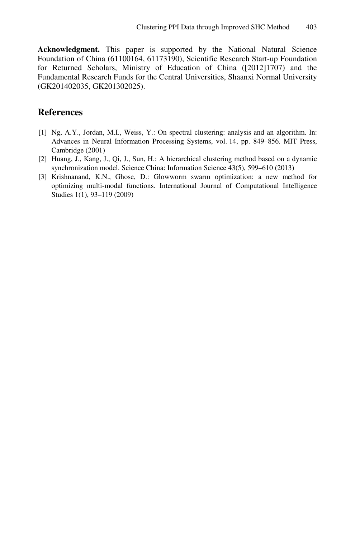**Acknowledgment.** This paper is supported by the National Natural Science Foundation of China (61100164, 61173190), Scientific Research Start-up Foundation for Returned Scholars, Ministry of Education of China ([2012]1707) and the Fundamental Research Funds for the Central Universities, Shaanxi Normal University (GK201402035, GK201302025).

- [1] Ng, A.Y., Jordan, M.I., Weiss, Y.: On spectral clustering: analysis and an algorithm. In: Advances in Neural Information Processing Systems, vol. 14, pp. 849–856. MIT Press, Cambridge (2001)
- [2] Huang, J., Kang, J., Qi, J., Sun, H.: A hierarchical clustering method based on a dynamic synchronization model. Science China: Information Science 43(5), 599–610 (2013)
- [3] Krishnanand, K.N., Ghose, D.: Glowworm swarm optimization: a new method for optimizing multi-modal functions. International Journal of Computational Intelligence Studies 1(1), 93–119 (2009)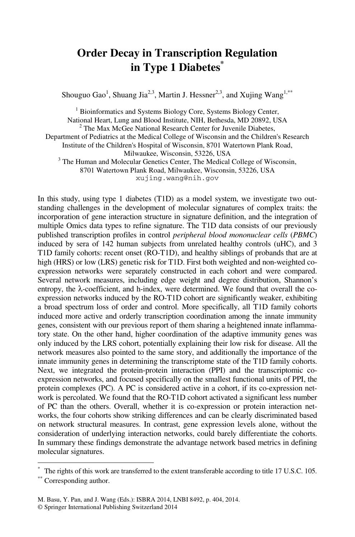## **Order Decay in Transcription Regulation in Type 1 Diabetes\***

Shouguo Gao<sup>1</sup>, Shuang Jia<sup>2,3</sup>, Martin J. Hessner<sup>2,3</sup>, and Xujing Wang<sup>1,\*\*</sup>

<sup>1</sup> Bioinformatics and Systems Biology Core, Systems Biology Center, National Heart, Lung and Blood Institute, NIH, Bethesda, MD 20892, USA 2  $2$  The Max McGee National Research Center for Juvenile Diabetes, Department of Pediatrics at the Medical College of Wisconsin and the Children's Research Institute of the Children's Hospital of Wisconsin, 8701 Watertown Plank Road, Milwaukee, Wisconsin, 53226, USA<br><sup>3</sup> The Human and Molecular Genetics Center, The Medical College of Wisconsin, 8701 Watertown Plank Road, Milwaukee, Wisconsin, 53226, USA xujing.wang@nih.gov

In this study, using type 1 diabetes (T1D) as a model system, we investigate two outstanding challenges in the development of molecular signatures of complex traits: the incorporation of gene interaction structure in signature definition, and the integration of multiple Omics data types to refine signature. The T1D data consists of our previously published transcription profiles in control *peripheral blood mononuclear cells* (*PBMC*) induced by sera of 142 human subjects from unrelated healthy controls (uHC), and 3 T1D family cohorts: recent onset (RO-T1D), and healthy siblings of probands that are at high (HRS) or low (LRS) genetic risk for T1D. First both weighted and non-weighted coexpression networks were separately constructed in each cohort and were compared. Several network measures, including edge weight and degree distribution, Shannon's entropy, the  $\lambda$ -coefficient, and h-index, were determined. We found that overall the coexpression networks induced by the RO-T1D cohort are significantly weaker, exhibiting a broad spectrum loss of order and control. More specifically, all T1D family cohorts induced more active and orderly transcription coordination among the innate immunity genes, consistent with our previous report of them sharing a heightened innate inflammatory state. On the other hand, higher coordination of the adaptive immunity genes was only induced by the LRS cohort, potentially explaining their low risk for disease. All the network measures also pointed to the same story, and additionally the importance of the innate immunity genes in determining the transcriptome state of the T1D family cohorts. Next, we integrated the protein-protein interaction (PPI) and the transcriptomic coexpression networks, and focused specifically on the smallest functional units of PPI, the protein complexes (PC). A PC is considered active in a cohort, if its co-expression network is percolated. We found that the RO-T1D cohort activated a significant less number of PC than the others. Overall, whether it is co-expression or protein interaction networks, the four cohorts show striking differences and can be clearly discriminated based on network structural measures. In contrast, gene expression levels alone, without the consideration of underlying interaction networks, could barely differentiate the cohorts. In summary these findings demonstrate the advantage network based metrics in defining molecular signatures.

-

<sup>&</sup>lt;sup>\*</sup> The rights of this work are transferred to the extent transferable according to title 17 U.S.C. 105. <sup>\*\*</sup> Corresponding author.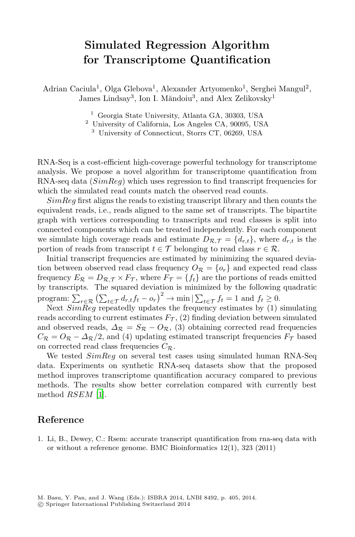## **Simulated Regression Algorithm for Transcriptome Quantification**

Adrian Caciula<sup>1</sup>, Olga Glebova<sup>1</sup>, Alexander Artyomenko<sup>1</sup>, Serghei Mangul<sup>2</sup>, James Lindsay<sup>3</sup>, Ion I. Măndoiu<sup>3</sup>, and Alex Zelikovsky<sup>1</sup>

<sup>1</sup> Georgia State University, Atlanta GA, 30303, USA

<sup>2</sup> University of California, Los Angeles CA, 90095, USA

<sup>3</sup> University of Connecticut, Storrs CT, 06269, USA

RNA-Seq is a cost-efficient high-coverage powerful technology for transcriptome analysis. We propose a novel algorithm for transcriptome quantification from RNA-seq data  $(SimReq)$  which uses regression to find transcript frequencies for which the simulated read counts match the observed read counts.

SimReg first aligns the reads to existing transcript library and then counts the equivalent reads, i.e., reads aligned to the same set of transcripts. The bipartite graph with vertices corresponding to transcripts and read classes is split into connected components which can be treated independently. For each component we simulate high coverage reads and estimate  $D_{\mathcal{R},\mathcal{T}} = \{d_{r,t}\}\,$ , where  $d_{r,t}$  is the portion of reads from transcript  $t \in \mathcal{T}$  belonging to read class  $r \in \mathcal{R}$ .

Initial transcript frequencies are estimated by minimizing the squared deviation between observed read class frequency  $O_{\mathcal{R}} = \{o_r\}$  and expected read class frequency  $E_R = D_{R,T} \times F_T$ , where  $F_T = \{f_t\}$  are the portions of reads emitted by transcripts. The squared deviation is minimized by the following quadratic program:  $\sum_{r \in \mathcal{R}} (\sum_{t \in \mathcal{T}} d_{r,t} f_t - o_r)^2 \to \min |\sum_{t \in \mathcal{T}} f_t = 1$  and  $f_t \geq 0$ .<br>Next *SimReg* repeatedly updates the frequency estimates by (1) simulating

reads according to current estimates  $F_{\mathcal{T}}$ , (2) finding deviation between simulated and observed reads,  $\Delta_{\mathcal{R}} = S_{\mathcal{R}} - O_{\mathcal{R}}$ , (3) obtaining corrected read frequencies  $C_{\mathcal{R}} = O_{\mathcal{R}} - \Delta_{\mathcal{R}}/2$ , and (4) updating estimated transcript frequencies  $F_{\mathcal{T}}$  based on corrected read class frequencies  $C_{\mathcal{R}}$ .

We tested  $SimReg$  on several test cases using simulated human RNA-Seq data. Experiments on synthetic RNA-seq datasets show that the proposed method improves transcriptome quantification accuracy compared to previous methods. The results show better correlation compared with currently best method RSEM [1].

#### **Reference**

1. Li, B., Dewey, C.: Rsem: accurate transcript quantification from rna-seq data with or without a reference genome. BMC Bioinformatics 12(1), 323 (2011)

M. Basu, Y. Pan, and J. Wang (Eds.): ISBRA 2014, LNBI 8492, p. 405, 2014.

c Springer International Publishing Switzerland 2014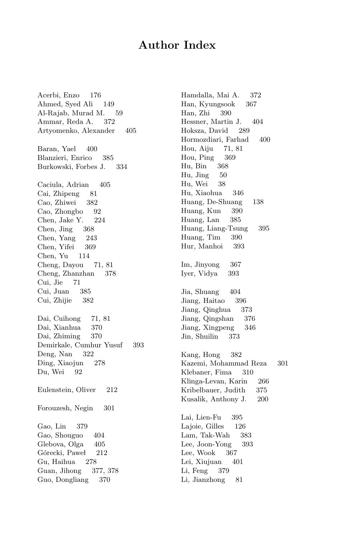## **Author Index**

Acerbi, Enzo 176 Ahmed, Syed Ali 149 Al-Rajab, Murad M. 59 Ammar, Reda A. 372 Artyomenko, Alexander 405 Baran, Yael 400 Blanzieri, Enrico 385 Burkowski, Forbes J. 334 Caciula, Adrian 405 Cai, Zhipeng 81 Cao, Zhiwei 382 Cao, Zhongbo 92 Chen, Jake Y. 224 Chen, Jing 368 Chen, Yang 243 Chen, Yifei 369 Chen, Yu 114 Cheng, Dayou 71, 81 Cheng, Zhanzhan 378 Cui, Jie 71 Cui, Juan 385 Cui, Zhijie 382 Dai, Cuihong 71, 81 Dai, Xianhua 370 Dai, Zhiming 370 Demirkale, Cumhur Yusuf 393 Deng, Nan 322 Ding, Xiaojun 278 Du, Wei 92 Eulenstein, Oliver 212 Forouzesh, Negin 301 Gao, Lin 379 Gao, Shouguo 404 Glebova, Olga 405 Górecki, Paweł 212 Gu, Haihua 278 Guan, Jihong 377, 378 Guo, Dongliang 370

Hamdalla, Mai A. 372 Han, Kyungsook 367 Han, Zhi 390 Hessner, Martin J. 404 Hoksza, David 289 Hormozdiari, Farhad 400 Hou, Aiju 71, 81 Hou, Ping 369 Hu, Bin 368 Hu, Jing 50 Hu, Wei 38 Hu, Xiaohua 346 Huang, De-Shuang 138 Huang, Kun 390 Huang, Lan 385 Huang, Liang-Tsung 395 Huang, Tim 390 Hur, Manhoi 393 Im, Jinyong 367 Iyer, Vidya 393 Jia, Shuang 404 Jiang, Haitao 396 Jiang, Qinghua 373 Jiang, Qingshan 376 Jiang, Xingpeng 346 Jin, Shuilin 373 Kang, Hong 382 Kazemi, Mohammad Reza 301 Klebaner, Fima 310 Klinga-Levan, Karin 266 Kribelbauer, Judith 375 Kusalik, Anthony J. 200 Lai, Lien-Fu 395 Lajoie, Gilles 126 Lam, Tak-Wah 383 Lee, Joon-Yong 393 Lee, Wook 367 Lei, Xiujuan 401 Li, Feng 379 Li, Jianzhong 81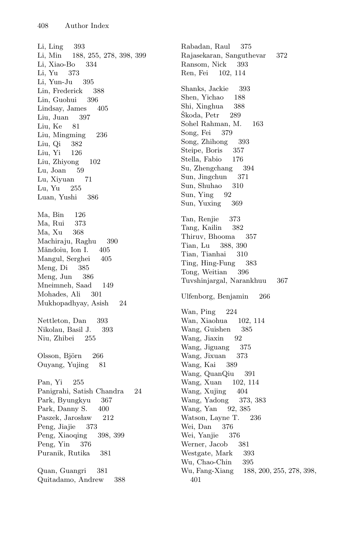Li, Ling 393 Li, Min 188, 255, 278, 398, 399 Li, Xiao-Bo 334 Li, Yu 373 Li, Yun-Ju 395 Lin, Frederick 388 Lin, Guohui 396 Lindsay, James 405 Liu, Juan 397 Liu, Ke 81 Liu, Mingming 236 Liu, Qi 382 Liu, Yi 126 Liu, Zhiyong 102 Lu, Joan 59 Lu, Xiyuan 71 Lu, Yu 255 Luan, Yushi 386 Ma, Bin 126 Ma, Rui 373 Ma, Xu 368 Machiraju, Raghu 390 Măndoiu, Ion I. 405 Mangul, Serghei 405 Meng, Di 385 Meng, Jun 386 Mneimneh, Saad 149 Mohades, Ali 301 Mukhopadhyay, Asish 24 Nettleton, Dan 393 Nikolau, Basil J. 393 Niu, Zhibei 255 Olsson, Björn 266 Ouyang, Yujing 81 Pan, Yi 255 Panigrahi, Satish Chandra 24 Park, Byungkyu 367 Park, Danny S. 400 Paszek, Jaroslaw 212 Peng, Jiajie 373 Peng, Xiaoqing 398, 399 Peng, Yin 376 Puranik, Rutika 381 Quan, Guangri 381 Quitadamo, Andrew 388

Rabadan, Raul 375 Rajasekaran, Sanguthevar 372 Ransom, Nick 393 Ren, Fei 102, 114 Shanks, Jackie 393 Shen, Yichao 188 Shi, Xinghua 388  $\check{\text{Skoda}}$ , Petr 289 Sohel Rahman, M. 163 Song, Fei 379 Song, Zhihong 393 Steipe, Boris 357 Stella, Fabio 176 Su, Zhengchang 394 Sun, Jingchun 371 Sun, Shuhao 310 Sun, Ying 92 Sun, Yuxing 369 Tan, Renjie 373 Tang, Kailin 382 Thiruv, Bhooma 357 Tian, Lu 388, 390 Tian, Tianhai 310 Ting, Hing-Fung 383 Tong, Weitian 396 Tuvshinjargal, Narankhuu 367 Ulfenborg, Benjamin 266 Wan, Ping 224 Wan, Xiaohua 102, 114 Wang, Guishen 385 Wang, Jiaxin 92 Wang, Jiguang 375 Wang, Jixuan 373 Wang, Kai 389 Wang, QuanQiu 391 Wang, Xuan 102, 114 Wang, Xujing 404 Wang, Yadong 373, 383 Wang, Yan 92, 385 Watson, Layne T. 236 Wei, Dan 376 Wei, Yanjie 376 Werner, Jacob 381 Westgate, Mark 393 Wu, Chao-Chin 395 Wu, Fang-Xiang 188, 200, 255, 278, 398, 401